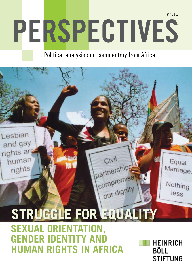# **Perspectives** #4.10

## Political analysis and commentary from Africa

Civil

partnerships

compromise

# only dignity STRUGGLE FOR EQUALITY **Sexual orientation,**

image here

Lesbian

and gay

rights are

human

rights

**GENDER IDENTITY AND human rights in Africa**

**HEINRICH BÖLL STIFTUNG** 

Equal

Marriage.

Nothing

less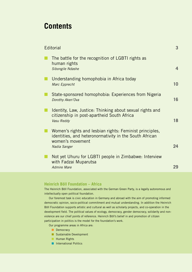## **Contents**

| Editorial |                                                                                                                                       | 3                       |
|-----------|---------------------------------------------------------------------------------------------------------------------------------------|-------------------------|
|           | The battle for the recognition of LGBTI rights as<br>human rights<br>Sibongile Ndashe                                                 | $\overline{\mathbf{4}}$ |
|           | Understanding homophobia in Africa today<br>Marc Epprecht                                                                             | 10                      |
|           | State-sponsored homophobia: Experiences from Nigeria<br>Dorothy Aken'Ova                                                              | 16                      |
|           | Identity, Law, Justice: Thinking about sexual rights and<br>citizenship in post-apartheid South Africa<br>Vasu Reddy                  | 18                      |
|           | Women's rights and lesbian rights: Feminist principles,<br>identities, and heteronormativity in the South African<br>women's movement |                         |
|           | Nadia Sanger                                                                                                                          | 24                      |
|           | Not yet Uhuru for LGBTI people in Zimbabwe: Interview<br>with Fadzai Muparutsa                                                        |                         |
|           | <b>Admire Mare</b>                                                                                                                    | 29                      |

#### **Heinrich Böll Foundation – Africa**

The Heinrich Böll Foundation, associated with the German Green Party, is a legally autonomous and intellectually open political foundation.

Our foremost task is civic education in Germany and abroad with the aim of promoting informed democratic opinion, socio-political commitment and mutual understanding. In addition the Heinrich Böll Foundation supports artistic and cultural as well as scholarly projects, and co-operation in the development field. The political values of ecology, democracy, gender democracy, solidarity and nonviolence are our chief points of reference. Heinrich Böll's belief in and promotion of citizen participation in politics is the model for the foundation's work.

Our programme areas in Africa are:

- Democracy
- **n** Sustainable Development
- **Human Rights**
- n International Politics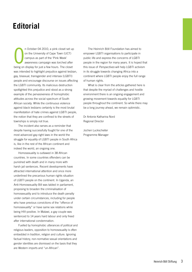# **Editorial**

n October 04 2010, a pink closet set up<br>on the University of Cape Town (UCT)<br>campus as part of the 'Pink Week'<br>awareness campaign was torched after<br>being on display for just a few hours. The closet n October 04 2010, a pink closet set up on the University of Cape Town (UCT) campus as part of the 'Pink Week' awareness campaign was torched after was intended to highlight prejudice against lesbian, gay, bisexual, transgender and intersex (LGBTI) people and encourage discourse on issues affecting the LGBTI community. Its malicious destruction spotlighted this prejudice and stood as a strong example of the pervasiveness of homophobic attitudes across the social spectrum of South African society. While the continuous violence against black lesbians certainly is the most brutal manifestation of hate crimes against LGBTI people, the notion that they are confined to the streets of townships is simply not true.

The incident also serves as a reminder that despite having successfully fought for one of the most advanced gay-right laws in the world the struggle for equality of LGBTI people in South Africa is, like in the rest of the African continent and indeed the world, an ongoing one.

Homosexuality is outlawed in 38 African countries. In some countries offenders can be punished with death and in many more with harsh jail sentences. Recent developments have attracted international attention and once more underlined the precarious human rights situation of LGBTI people on the continent. In Uganda, an Anti-Homosexuality Bill was tabled in parliament, proposing to broaden the criminalisation of homosexuality and to introduce the death penalty under certain circumstances, including for people who have previous convictions of the "offence of homosexuality" or have same sex relations while being HIV-positive. In Malawi, a gay couple was sentenced to 14 years hard labour and only freed after international condemnation.

Fuelled by homophobic utterances of political and religious leaders, opposition to homosexuality is often embedded in tradition, religion and culture. Ignoring factual history, non-normative sexual orientations and gender identities are dismissed on the basis that they are Western imports and "un-African".

The Heinrich Böll Foundation has aimed to empower LGBTI organisations to participate in public life and express the concerns of LGBTI people in the region for many years. It is hoped that this issue of *Perspectives* will help LGBTI activism in its struggle towards changing Africa into a continent where LGBTI people enjoy the full range of human rights.

What is clear from the articles gathered here is that despite the myriad of challenges and hostile environment there is an ongoing engagement and growing movement towards equality for LGBTI people throughout the continent. So while there may be a long journey ahead, we remain optimistic.

Dr Antonie Katharina Nord Regional Director

Jochen Luckscheiter Programme Manager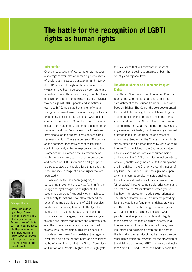## **The battle for the recognition of LGBTI rights as human rights**

#### **Introduction**

Over the past couple of years, there has not been a shortage of examples of human rights violations of lesbian, gay, bisexual, transgender and intersex  $(LGBTI)$  persons throughout the continent.<sup>1</sup> The violations have been perpetrated by both state and non-state actors. The violations vary from the denial of basic rights to, in some extreme cases, physical violence against LGBTI people and sometimes even death.<sup>2</sup> Some states have taken efforts to strengthen criminal laws<sup>3</sup> by increasing penalties or broadening the list of offences that LGBTI people can be charged under. Current and former heads of state continue to make statements condemning same sex relations.<sup>4</sup> Various religious formations have also taken the opportunity to oppose same sex relationships.<sup>5</sup> There are currently 38 countries on the continent that actively criminalise same sex intimacy and, while not expressly criminalised in other countries, other laws, like vagrancy or public nuisance laws, can be used to prosecute and persecute LGBTI individuals and groups. It is also accepted that the violations that are taking place implicate a range of human rights that are protected.<sup>6</sup>

While all of this has been going on, a burgeoning movement of activists fighting for the struggle of legal recognition of rights of LGBTI people has emerged.<sup>7</sup> Gradually, other mainstream civil society formations have also embraced the issue of the multiple violations of LGBTI peoples' rights as a human rights issue. In the fight for rights, like in any other struggle, there will be prioritisation of strategies, more preference given to some arguments than others and contestations over the choice of strategies that will be used to articulate the problems. This article seeks to provide an overview of what exists at the regional level focusing on the opportunities and challenges at the African Union and at the African Commission on Human and Peoples' Rights. It then highlights

the key issues that will confront the nascent movement as it begins to organise at both the country and regional level.

#### **The African Charter on Human and Peoples' Rights**

The African Commission on Human and Peoples' Rights (The Commission) has been, until the establishment of the African Court on Human and Peoples' Rights (The Court), the sole body granted the mandate to investigate the violations of rights and to protect against the violations of the rights guaranteed under the African Charter on Human and People's (The Charter). There is no suggestion, anywhere in the Charter, that there is any individual or group that is barred from the enjoyment of rights guaranteed under the Charter. Human rights simply attach to all human beings by virtue of being human. The provisions of the Charter guarantee rights to 'every individual'<sup>8</sup> 'every human being'<sup>9</sup> and 'every citizen'.<sup>10</sup> The non-discrimination article, Article 2, entitles every individual to the enjoyment of all the rights in the Charter without distinction of any kind. The Charter enumerates grounds upon which one cannot be discriminated against but the list is not exhaustive as it makes provision for 'other status'. In other comparable jurisdictions and domestic courts, 'other status' or 'other grounds' has been interpreted to include sexual orientation. The African Charter, like all instruments providing for the protection of fundamental rights, provides a sufficient basis for the recognition of all rights without distinction, including those of LGBTI people. It makes provision for life and integrity of the person, $11$  respect for dignity inherent in a human being and the prohibition of torture, cruel, inhumane and degrading treatment, the right to liberty and to the security of his/ her person, among other rights which are essential for the protection of the violations that many LGBTI people are subjected to.<sup>12</sup> Article 60<sup>13</sup> and 61<sup>14</sup> of the Charter enable the



#### **Sibongile Ndashe**

Sibongile is a human rights lawyer. She works in the Equality Programme at Interights. Her work focuses on women's rights, LGBTI and disability rights. She litigates before the African Regional Human Rights Systems and works with lawyers who pursue strategic litigation before domestic courts.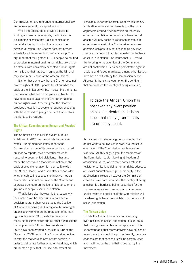Commission to have reference to international law and norms generally accepted as such.

While the Charter does provide a basis for limiting a whole range of rights, the limitation is a balancing exercise that judicial bodies often undertake bearing in mind the facts and the rights in question. The Charter does not present a basis for a blanket exclusion of any group. The argument that the rights of LGBTI people do not find expression in international human rights law or that it detracts from universally accepted human rights norms is one that has been raging at the UN and may soon rear its head at the African Union<sup>15</sup>.

It is for those who say that the Charter does not protect rights of LGBTI people to set out what the basis of the limitation will be. In asserting the rights, the violations that LGBTI people are subjected to have to be tested against the Charter or national human rights laws. Accepting that the Charter provides protection to everyone requires engaging with those tasked to giving it content that enables the rights to be realised.

#### **The African Commission on Human and Peoples' Rights**

The Commission has over the years pursued violations of LGBTI peoples' rights by member states. During member states' reports the Commission has out of its own accord and based on shadow reports, asked member states to respond to documented violations. It has also made the observation that discrimination on the basis of sexual orientation is incompatible with the African Charter, and asked states to consider whether subjecting suspects to invasive medical examinations did not contravene the Charter and expressed concern on the lack of tolerance on the grounds of people's sexual orientation.

What is less clear however is the reason why the Commission has been unable to reach a decision to grant observer status to the Coalition of African Lesbians (CAL), a regional human rights organisation working on the protection of human rights of lesbians. CAL meets the criteria for receiving observer status and all other organisations that applied with CAL for observer status in 2007 have been granted such status. During the November 2008 session, the Commission decided to refer the matter to its own private session in order to deliberate further whether the rights, which are human rights, that CAL seeks to protect are

justiciable under the Charter. What makes the CAL application an interesting issue is that the usual arguments around discrimination on the basis of sexual orientation do not arise or have not yet arisen. CAL only seeks to get observer status in order to engage with the Commission on issues affecting lesbians. It is not challenging any laws, practice or conduct that discriminates on the basis of sexual orientation. The issues that CAL would like to bring to the attention of the Commission are not controversial. Violence perpetrated against lesbians and forced marriages, among other issues, have been dealt with by the Commission before. At present, there is no country on the continent that criminalises the identity of being a lesbian,

To date the African Union has not taken any overt position on sexual orientation. It is an issue that many governments are unhappy about.

this is common refrain by groups or bodies that do not want to be involved in work around sexual orientation. If the Commission grants observer status to CAL this might signal the readiness of the Commission to start looking at freedom of association issues, where state parties refuse to register organisations doing human rights advocacy on sexual orientation and gender identity. If the application is rejected however the Commission creates a stalemate because if the identity of being a lesbian is a barrier to being recognised for the purpose of receiving observer status, it remains unclear what the positions of the Commission will be when rights have been violated on the basis of sexual orientation.

#### **The African Union**

To date the African Union has not taken any overt position on sexual orientation. It is an issue that many governments are unhappy about. It is understandable that many activists have not seen it as an issue that should be pushed overtly, because chances are that consensus will be easy to reach and it will not be the one that is desired by the movement.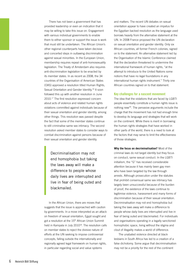There has not been a government that has provided leadership or even an indication that it may be willing to take this issue on. Engagement with various individual governments to enable them to either sponsor or support the issue is work that must still be undertaken. The African Union's other regional counterparts have taken decisive and concerted steps in outlawing discrimination against sexual minorities. In the European Union, membership requires repeal of anti-homosexuality legislation. The Treaty of Amsterdam also requires anti-discrimination legislation to be enacted by its member states. In as recent as 2008, the 34 countries of the Organisation of American States (OAS) approved a resolution titled Human Rights, Sexual Orientation and Gender Identity.16 It soon followed this up with another resolution in June 2010.17 The first resolution expressed concern about acts of violence and related human rights violations committed against individuals because of their sexual orientation and gender identity, among other things. This resolution was passed despite the fact that some of the member states continue to still criminalise same sex intimacy. The second resolution asked member states to consider ways to combat discrimination against persons because of their sexual orientation and gender identity.

> Decriminalisation may not end homophobia but taking the laws away will make a difference to people whose daily lives are interrupted and live in fear of being outed and blackmailed.

In the African Union, there are moves that suggests that the issue is approached with caution by governments. In a move interpreted as an attack on freedom of sexual orientation, Egypt sought and got a resolution at the 15<sup>th</sup> African Union Summit held in Kampala in July 2010<sup>18</sup>. The resolution calls on member states to reject the divisive nature of efforts at the UN seeking to impose controversial concepts, falling outside the internationally and regionally agreed legal framework on human rights, in particular regarding social and value systems

and matters. The recent UN debates on sexual orientation appear to have created an impetus for the Egyptian backed resolution as the language used borrows heavily from the alternative statement at the UN. In 2008 France proposed the UN declaration on sexual orientation and gender identity. Only six African countries, all former French colonies, signed on to the statement. An alternative statement led by the Organisation of the Islamic Conference claimed that the declaration threatened to undermine the international framework of human rights, "at the attempt to introduce to the United Nations some notions that have no legal foundations in any international human rights instrument." Thirty one African countries signed on to that statement.

#### **Key challenges for a nascent movement**

The idea that the violations that are faced by LGBTI people essentially constitute a human rights issue is nothing new19. The pervasive arguments include the charge that the movement has not had enough time to develop its language and strategies that will work on the continent. While there is merit in borrowing the human rights strategies that have worked in other parts of the world, there is a need to look at the factors that may serve to limit the effectiveness of those strategies.

**Why the focus on decriminalisation?** Most of the criminal laws do not target identity but they focus on conduct, same sexual conduct. In the LGBTI initialism, the "G" has received considerable attention because it has mainly been gay men who have been targeted by the law through arrests. Although prosecution under the statutes that prohibit consensual same sex intimacy has largely been unsuccessful because of the burden of proof, the existence of the laws continue to legitimise violence, harassment and many forms of discrimination because of their sexual orientation. Decriminalisation may not end homophobia but taking the laws away will make a difference to people whose daily lives are interrupted and live in fear of being outed and blackmailed. For individuals and organisations operating in a legally sanctioned homophobic space, living without the stigma and clout of illegality makes a world of difference.

The unabated violence directed at black lesbians in South Africa has led to a creation of a false dichotomy. Some argue that decriminalisation may not be a priority for the rest of the continent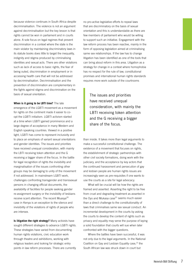because violence continues in South Africa despite decriminalisation. The violence is not an argument against decriminalisation but the key lesson is that rights cannot be won in parliament and in courts alone. A sole focus on legal regimes that prevent discrimination in a context where the state is the main violator by maintaining discriminatory laws in its statute books does little to target the inequality, indignity and stigma produced by criminalising identities and sexual acts. There are other violations such as lack of access to basic rights, the fear of being outed, discrimination in employment or in accessing health care that will not be addressed by decriminalisation. Decriminalisation and the prevention of discrimination are complementary in the fights against stigma and discrimination on the basis of sexual orientation.

#### **When is it going to be LBTI time?** The late

emergence of the LGBTI movement as a movement for rights on the continent made it easier to coopt the LGBTI initialism. LGBTI activism started at a time when LGBTI gained prominence and a large degree of acceptance in many Western and English speaking countries. Viewed in a positive light, LGBTI has come to represent inclusivity and to place an emphasis of variant sexual orientations and gender identities. The issues and priorities have received unequal consideration, with mainly the LBTI receiving token attention and the G receiving a bigger share of the focus. In the battle for legal recognition of rights the invisibility and marginalisation of the issues confronting other groups may be damaging to unity of the movement if not addressed. In mainstream LGBTI work, challenges confronting transgender and transsexual persons in changing official documents, the availability of facilities for people seeking gender re-assignment surgery or the invisibility of lesbians receive scant attention. The recent Muasya<sup>20</sup> case in Kenya is an exception to the silence and invisibility of the violations of rights of people who are intersex.

**Is litigation the right strategy?** Many activists have sought different strategies to advance LGBTI rights. These strategies have varied from documenting human rights violations, civic education work through theatre and exhibitions, working with religious leaders and looking for strategic entry points in law reform processes. There are currently

no pro-active legislative efforts to repeal laws that are discriminatory on the basis of sexual orientation and this is understandable as there are few members of parliament who would be willing to support such an initiative. Engagement with the law reform process has been reactive, mainly in the form of opposing legislation aimed at criminalising same sex relationships. If the law has to change litigation has been identified as one of the tools that can bring about reform in this area. Litigation as a strategy for change in a context where homophobia has no respect for the rule of law, constitutional promises and international human rights standards requires more work outside of the courtrooms

The issues and priorities have received unequal consideration, with mainly the LBTI receiving token attention and the G receiving a bigger share of the focus.

than inside. It takes more than legal arguments to make a successful constitutional challenge. The existence of a movement that focuses on rights, the establishment of strategic partnerships with other civil society formations, doing work with the judiciary, and the acceptance by key actors that the continued harassment and persecution of gay and lesbian people are human rights issues are increasingly seen as pre-requisites if one wants to use the courts as a site for legal advocacy.

What will be crucial will be how the rights are framed and asserted. Asserting the right to be free from cruel and degrading treatment as asserted in the Oyo and Mukasa case $^{21}$  seems much easier than a direct challenge to the constitutionality of laws that criminalises same sex sexual conduct. An incremental development in the courts by asking the courts to develop the content of rights such as privacy and equality may serve the purpose of laying a solid foundation that courts will sue when later confronted with the bigger questions.

Where the battles have been successful, it was not only due to the legal arguments. In the National Coalition on Gay and Lesbian Equality case,<sup>22</sup> the South African law was struck down in court but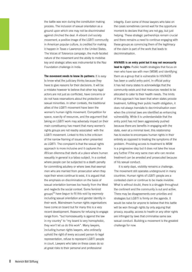the battle was won during the constitution making process. The inclusion of sexual orientation as a ground upon which one may not be discriminated against clinched the deal. A vibrant civil society movement, a positive image of the LGBTI community in American popular culture, is credited for making it happen in Texas v Lawrence in the United States. The Voices of Tolerance campaign, the multi-faceted nature of the movement and the ability to mobilise key and strategic allies was instrumental to the Naz Foundation challenge in India.

**The movement needs to know its partners:** It is easy to know what the judiciary thinks because they have to give reasons for their decisions. It will be a mistake however to believe that other key legal actors are not just as conflicted, have concerns or do not have reservations about the protection of sexual minorities. In other contexts, the traditional allies of the LGBTI movement have been the women's human rights movement. Competition for space, scarcity of resources, and the argument that taking on LGBTI work may adversely impact on their main constituency has meant that many women's rights groups are not readily associated with the LGBTI movement. Linked to this is the criticism of the narrow framing of issues when presented as LGBTI. The complaint is that the sexual rights approach is more inclusive and it captures the African dilemma that starts at a place where human sexuality in general is a taboo subject. In a context where people can be subjected to a death penalty for committing adultery or where laws that exempt men who are married from prosecution when they rape their wives continue to exist, it is argued that the emphasis on discrimination on the basis of sexual orientation borrows too heavily from the West and neglects the social context. Some feminist groups $^{23}$  have begun to fill this void by expressly including sexual orientation and gender identity in their work. Mainstream human rights organisations have come on board but for many this is a very recent development. Reasons for refusing to engage range from: "but homosexuality is against the law in my country" to "my board is very homophobic, they won't let us do this work". Many lawyers, including human rights lawyers, who ordinarily uphold the right of every accused person to legal representation, refuse to represent LGBTI people in court. Lawyers who take on these cases do so at great risks to their personal and professional

integrity. Even some of those lawyers who take on the cases sometimes cannot wait for the opportune moment to declare that they are not gay, but just helping. These strategic partnerships remain crucial and there remains a need to continue engaging with these groups as convincing them of the legitimacy of the claim is part of the work that leads to decriminalisation.

**HIV/AIDS is an entry point but it may not necessarily lead to rights:** Public health strategies that focus on men who have sex with men (MSM) and identifying them as a group that is vulnerable to HIV/AIDS has been a useful entry point. In official policy it has led many states to acknowledge that the community exists and that resources needed to be allocated to cater to their health needs. The limits of this approach has been that when states provide treatment, fulfilling their public health obligation, it does not always translate to decriminalisation even when the criminal laws are identified as enhancing vulnerability. While it is understandable that the entry point has not been aggressively pushed because there are benefits in engaging with the state, even at a minimal level, this relationship has to evolve to encompass human rights in their entirety as opposed to treating the symptoms of the problem. Providing access to treatment to MSM is a progressive step but it does not take the issue any further if the very same man who can receive treatment can be arrested and prosecuted because of his sexual conduct.

It is early days, visibility remains a challenge. The movement still operates underground in many countries. Human rights of LGBTI people are a contested claim or continue to be made invisible. What is without doubt, there is a struggle throughout the continent and the community is out and active. There may be disagreements over priorities and strategies but LGBTI is firmly on the agenda. It would be naïve for anyone to believe that this battle will be won through rights by only arguing that privacy, equality, access to health or any other rights are infringed by laws that criminalise same sex sexual conduct. Building a movement is the greatest challenge for now.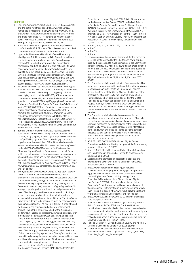#### **Endnotes**

- 1 See: http://www.mg.co.za/article/2010-06-04-homosexualityand-the-battle-for-africas-soul, http://www.mask.org.za/ homophobia-increasing-in-kenya/ and http://www.awid.org/ eng/Women-in-Action/Announcements2/Rights-to-Redressand-State-Accountability-Responding-to-Violence-against-Sexual-Minorities-in-Africa. For more detailed reports see: www.iglhrc.org, www.hrw.org, www.mask.org.za.
- 2 South African lesbians targeted for murder: http://www.afrol. com/articles/26384l; Murder of Sierra Leone's lesbian activist condemned: http://www.afrol.com/articles/14448
- Uganda Anti homosexuality bill: http://en.wikipedia.org/ wiki/Uganda\_Anti-Homosexuality\_Bill; Burundi repeal laws criminalising homosexual conduct:,http://www.hrw.org/ en/news/2009/04/24/burundi-repeal-law-criminalizinghomosexual-conduct; The love that dare not speak its name: http://www.independent.co.uk/news/world/africa/the-lovethat-still-dare-not-speak-its-name-1863913.html; Burundi Government Moves to Criminalize Homosexuality: Activist Groups Express Outrage: http://www.iglhrc.org/cgi-bin/iowa/ article/pressroom/pressrelease/750.html; Nigeria's anti-gay bill causes protests: http://www.afrol.com/articles/24541.
- 4 Mutharika criticises gay movement: http://www.mask.org.za/ another-latest-post-with-the-same-id-number-by-date/; Malawi president: We need children rights, not gay rights:http:// www.digitaljournal.com/article/293558; African statesman condemns homosexuality as an 'abomination': http://www. guardian.co.uk/world/2010/may/25/gay-rights-africa-malawi; Zimbabwe: President, PM Speak On Gays: http://allafrica.com/ stories/201003260002.html; Namibian president announces purges against gays: http://www.afrol.com/News2001/ nam008\_gay\_purges.html; Museveni Warns On Dangers of Sodomy: http://allafrica.com/stories/201006040260. html; Gambia News: President Jammeh Gives Ultimatum for Homosexuals to Leave: http://www.gambianow.com/news/ News/Gambia-News-President-Jammeh-Gives-Ultimatum-for-Homosexuals-to-.html.
- 5 Zambia Church Condemns Gay Activists: http://allafrica. com/stories/201005050727.html; Zambia: Channel funds to projects, not gay rights, donors urged: http://www.lusakatimes. com/?p=25974; Ugandan Church attacks gay community: http://www.afrol.com/articles/10483; African bishops unite to denounce homosexuality: http://www.monitor.co.ug/News/ National/-/688334/998598/-/x4kdcm/-/; Position of the Church of Nigeria (Anglican Communion) on the bill for an act to prohibit marriage between persons of the same gender, solemnization of same and for the other matters related therewith: http://thinkinganglicans.org.uk/uploads/CoNposition. pdf, Thousands Attend First Anti-gay Protests In Ghana: http:// www.ghanaweb.com/GhanaHomePage/NewsArchive/artikel. php?ID=183484.
- 6 The *right to non-discrimination and to be free from violence and harassment* is usually denied by omitting sexual orientation in anti-discrimination laws, constitutional provisions or their enforcement, the *right to life* is violated in states where the death penalty is applicable for sodomy. The *right to be free from torture or cruel, inhuman or degrading treatment* is infringed upon by police practices, in investigations or in the case of lesbians, gays and bisexuals in detention. *Arbitrary arrest* occurs in a number of countries with individuals suspected of having a homo/ bisexual identity. The *freedom of movement* is denied to bi-national couples by not recognizing their same sex relation. The *right to a fair trial* is often affected by the prejudices of judges and other law enforcement officials. The *right to privacy* is denied by the existence of 'sodomy laws' applicable to lesbians, gays and bisexuals, even if the relation is in private between consenting adults. The rights to *free expression* and *free association* may either be denied explicitly by law, or lesbians, gays and bisexuals may not enjoy them because of the homophobic climate in which they live. The *practice of religion* is usually restricted in the case of lesbians, gays and bisexuals, especially in the case of churches advocating against them. The *right to work* is the most affected among the economic rights, many lesbians, gays and bisexuals being fired because of their sexual orientation or discriminated in employment policies and practices: http:// www.hrea.org/index.php?doc\_id=432.

The Coalition of African Lesbians (CAL), Centre for Popular

Education and Human Rights (CEPEHRG) in Ghana, Centre for the Development of People (CEDEP) in Malawi, Friends of Rainka in Zambia, Gay and Lesbian Coalition of Kenya (GALCK), Gays and Lesbians of Zimbabwe (GALZ), Out - LGBT Wellbeing, Forum for the Empowerment of Women (FEW), International Center for Advocacy on Right to Health (ICARH) in Nigeria, Lesbian and Gay Equality Project, the Mozambican Association for sexual minority rights, Sexual Minorities of Uganda (SMUG).

- 8 Article 2, 3, 5, 6, 7, 9, 10, 11, 12, 15, 16 and 17.
- 9 Article 2.
- 10 Article 13.
- 11 Article 4.
- 12 For an analysis of the normative framework for the protection of LGBTI rights provided by the Charter and how it can be used by those seeking to make claims before the Commission rights see Murray, R., Viljoen, F.: Towards Non-Discrimination on the Basis of Sexual Orientation: The Normative Basis and Procedural Possibilities before the African Commission on Human and Peoples' Rights and the African Union, *Human Rights Quarterly* - Volume 29, Number 1, February 2007, pp. 86-111.
- 13 The Commission shall draw inspiration from international law on human and peoples' rights, particularly from the provisions of various African instruments on Human and Peoples' Rights, the Charter of the United Nations, the Charter of the Organisation of African Unity, the Universal Declaration of Human Rights, other instruments adopted by the United Nations and by African countries in the field of Human and Peoples' Rights, as well as from the provisions of various instruments adopted within the Specialised Agencies of the United Nations of which the Parties to the present Charter are members.
- 14 The Commission shall also take into consideration, as subsidiary measures to determine the principles of law, other general or special international conventions, laying down rules expressly recognised by Member States of the Organisation of African Unity, African practices consistent with international norms on Human and Peoples' Rights, customs generally accepted as law, general principles of law recognised by African States as well as legal precedents and doctrine.
- 15 See section on African Union.
- 16 AG/RES. 2435 (XXXVIII-O/08), Human Rights, Sexual Orientation, and Gender Identity (Adopted at the fourth plenary session, held on June 3, 2008).
- 17 AG/RES. 2600 (XL-O/10), Human Rights, Sexual Orientation, and Gender Identity (Adopted at the fourth plenary session, held on June 8, 2010).
- 18 Decision on the promotion of cooperation, dialogue and respect for the diversity in the field of human rights, Doc. Assembly/AU/17(XV) Add.9.
- 19 http://www.declarationofmontreal.org/declaration/ DeclarationofMontreal.pdf; http://www.yogyakartaprinciples. org/; Sexual Orientation, Gender Identity and International Human Rights Law: Contextualising theYogyakarta Principles: O'Flaherty and John Fisher, Human Rights Law Review, 8:2(2008). The judicial annotations to the Yogyakarta Principles provide additional information about the international instruments and jurisprudence upon which each Principle is based: http://www.yogyakartaprinciples.org/ yogyakarta-principles-jurisprudential-annotations.pdf.
- 20 http://www.mg.co.za/article/2009-09-22-kenyan-challengesstate-over-prison-facilities.
- 21 In Victor Juliet Mukasa and Yvonne Oyo v. Attorney General (Misc. Cause No.247 of 2006) the Court held that two individuals who were identified as lesbian had been subjected to arbitrary arrest, detention, and physical mistreatment by law enforcement officers. The High Court found that the police had violated a number of human rights instruments, including the Universal Declaration of Human Rights.
- 22 National Coalition for Gay and Lesbian Equality and Another v. Minister of Justice and Others, CCT 11/98 (1998).
- 23 Charter of Feminist Principles for African Feminists: http:// www.africanfeministforum.org/v3/files/Charter\_of\_Feminist\_ Principles\_for\_African\_Feminists.pdf.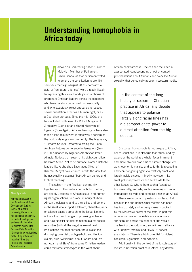# **Understanding homophobia in Africa today1**

M alawi is "a God-fearing nation", intoned Malawian Member of Parliament, Edwin Banda, as that parliament voted to amend the constitution to prohibit same-sex marriage (August 2009 - homosexual acts, or "unnatural offences" were already illegal). In expressing this view, Banda joined a chorus of prominent Christian leaders across the continent who have harshly condemned homosexuality and who steadfastly reject entreaties to respect sexual orientation either as a human right, or as a God-given attribute. Since the mid-1990s this has included politicians like Robert Mugabe of Zimbabwe (Catholic) and Yoweri Museveni of Uganda (Born Again). African theologians have also taken a lead role in what is effectively a schism of the worldwide Anglican community. The breakaway "Primates Council" created following the Global Anglican Futures conference in Jerusalem (July 2009) is headed by Nigeria's Archbishop Peter Akinola. No less than seven of its eight councillors hail from Africa. Not to be outdone, Roman Catholic leaders like Archbishop Zacchaeus Okoth of Kisumu (Kenya) have chimed in with the view that homosexuality is against "both African culture and biblical teaching".

The schism in the Anglican community, together with inflammatory homophobic rhetoric, are deeply upsetting to African sexual and human rights organisations, to a vocal minority of liberal African theologians, and to their allies and donors in the West who support a tolerant, charitable, and/ or science-based approach to the issue. Not only is there the direct danger of provoking violence and fuelling existing discrimination against sexual minorities (with all the negative sexual health implications that that carries), there is also the dismaying potential that hyperbolic and illogical claims, plus "witticisms" about "Adam and Eve not Adam and Steve" from some Christian leaders, could reinforce stereotypes in the West about

African backwardness. One can see the latter in exasperated, condescending or out-of-context generalisations about Africans and so-called African sexuality that periodically appear in Western media.

In the context of the long history of racism in Christian practice in Africa, any debate that appears to polarise largely along racial lines has a disproportionate power to distract attention from the big debates.

Of course, homophobia is not unique to Africa, nor to Christians. It is also true that Africa, and by extension the world as a whole, faces imminent and more obvious problems of climate change, civil wars, economic malaise and so forth. Scapegoating and fear-mongering against a relatively small and largely invisible sexual minority may seem like small political potatoes when set beside these other issues. So why is there such a fuss about homosexuality, and why such a seeming common front across so wide and complex a region as Africa?

These are important questions, not least of all because the anti-homosexual rhetoric has been heating up lately and in many cases is backed by the repressive power of the state. In part this is because new sexual rights associations are springing up across the continent and vocally challenging the status quo, sometimes in alliance with "uppity" feminist and HIV/AIDS service associations. There is a high potential for violent backlash, vigilantism, and extortion.

Additionally, in the context of the long history of racism in Christian practice in Africa, any debate



#### **Marc Epprecht**

Marc is a Professor in the Department of Global Development Studies (DEVS) at Queen's University, Canada. He has published extensively on the history of gender and sexuality in Africa. He recently received the Desmond Tutu Award for "Outstanding Contributions to the Study of Sexuality in Africa " from the International Resource Network-Africa.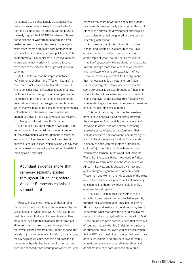that appears to polarise largely along racial lines has a disproportionate power to distract attention from the big debates. An analogy can be found in the early days of the HIV/AIDS epidemic. Blanket denunciations of Western imperialism and overheated accusations of racism were made against white researchers and health care professionals by some African intellectuals and politicians. This contributed to AIDS denialism at a critical moment in time and almost certainly impeded effective responses to the disease at a huge cost in human suffering.

All this is to say that the impasse between "African homophobes" and "Western liberals" is more than small potatoes. In this article I would like to consider several historical factors that have contributed to the strength of African opinions on the matter in the hope, perhaps, of lessening the polarisation. History then suggests other, broader issues that will need to be considered if homophobia – Christian and otherwise – is to be addressed enough to prevent more bad laws such as Malawi's from being introduced using God's name.

Let me begin by identifying my own faith. I am not a Christian. I am a historian trained in more or less conventional Western methods of research and analysis of evidence. I respect the scientific consensus on sexualities, which is simply to say that human sexuality does not easily conform to wishful thinking about "normal".

Abundant evidence shows that same-sex sexuality existed throughout Africa long before Arabs or Europeans colonised so much of it.

Respecting science includes understanding that scientists are people who are influenced by the social context in which they work. In Africa, in the past, this meant that scientific results were often influenced by assumptions arising from prevalent attitudes of racism, sexism, and homophobia. Moreover, science was frequently made to serve the grossly unjust structures of colonialism, for example, racially segregated cities, schools and hospitals in the name of health. But the scientific method has over time exposed those assumptions and produced

progressively more powerful insights into human health and human sexuality among other things. If Africa is to address the development challenges it faces, science cannot be ignored or dismissed as inherently anti-African.

A consequence of this critical faith of mine is that I find isolated quotations from the Bible or select anthropologists to be unconvincing on the topic of what "nature" or "God's will" or "tradition" supposedly tells us about homosexuality. Indeed, through more than a decade of research into the history of same-sex sexuality in Africa I have found no support at all for the argument that homosexuality is un-natural or un-African. On the contrary, abundant evidence shows that same-sex sexuality existed throughout Africa long before Arabs or Europeans colonised so much of it, and that even under colonial rule Africans were independent agents in determining new expressions of culture, including sexual mores.

This continues today. It is true that Western donors have financially and morally supported the emergence of sexual rights associations and networks in Africa, and are actively promoting a broad agenda of gender transformation that includes women's empowerment, children's rights, and full, frank sexuality education. This agenda is deeply at odds with most African "traditional cultures" (just as it is at odds with entrenched patriarchy elsewhere in the world, including the West). But the sexual rights movement in Africa preceded Western interest in the issue, builds on African initiatives, and is shaped by a new and quite courageous generation of African leaders. These men and women are not puppets of the West and indeed, sometimes get cross at well-meaning outsiders telling them how they should identify or organise their struggles.

That said, I respect that many Africans are attracted to, and moved to become better people, through their Christian faith. This includes many African gays and lesbians. I therefore try my best to understand what motivates the prejudices against sexual minorities that get justified as the will of God. Those prejudices have consequences that seem out of keeping not only with the Christian (and *ubuntu* or humanist) ethic, but even with self-preservation. As UNAIDS and most other major global health care donors, educators, and providers have forcefully argued, secrecy, falsehoods, stigmatisation, and denial make a poor base upon which to build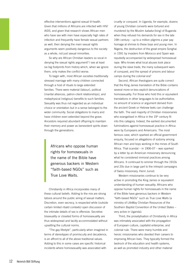effective interventions against sexual ill-health. Given that millions of Africans are infected with HIV/ AIDS, and given that research shows African men who have sex with men have especially high rates of infection and frequently have female sexual partners as well, then denying the main sexual rights arguments seem positively dangerous to the society as a whole, not just sexual minorities.

So why are African Christian leaders so vocal in denying the sexual rights argument? I see at least six big footprints from history which, when we ignore them, only makes the conflict worse.

To begin with, most African societies traditionally stressed marriage with many children connected through a host of rituals to large extended families. There were material (labour), political (marital alliances, patron-client relationships), and metaphysical (religious) benefits to such families. Sexuality was thus not regarded as an individual choice or orientation but in a sense belonged to the wider community. Social obligations to marry and have children even extended beyond the grave. Ancestors required abundant offspring to maintain their memory and power as benevolent spirits down through the generations.

Africans who oppose human rights for homosexuals in the name of the Bible have generous backers in Western "faith-based NGOs" such as True Love Waits.

Christianity in Africa incorporates many of these cultural beliefs. Adding to the mix are strong taboos around the public airing of sexual matters. Discretion, even secrecy, is respected while (outside certain limited ribald contexts) open discussion of the intimate details of sex is offensive. Secretive bisexuality or closeted forms of homosexuality are thus widespread and tacitly accommodated without upsetting the cultural norms.

"The gay lifestyle", particularly when imagined in terms of stereotypes of promiscuity and decadence, is an affront to all of the above traditional values. Adding to this in some cases are specific historical incidents where homosexuality was associated with

cruelty or conquest. In Uganda, for example, dozens of young Christian converts were tortured and murdered by the Muslim *kabaka* (king) of Buganda when they refused his demands for sex in the late 19th century – up to a million pilgrims a year pay homage at shrines to these boys and young men. In Nigeria, the destruction of the great empire Songhai in 1591 by invaders from Morocco and Spain was reputedly accompanied by widespread homosexual rape. Who knows what local abuses took place during the slave trade, the many subsequent wars of conquest, and the spread of prisons and labour camps during the colonial era?

Second, African theologians are quite correct that the King James translation of the Bible contains several more-or-less explicit denunciations of homosexuality. For those who hold this or equivalent translations in other languages to be authoritative, no amount of science or argument derived from the ancient Greek or Hebrew texts can challenge the faith. The vast majority of Christian missionaries who evangelised in Africa in the 19<sup>th</sup> century fit into this category. Indeed, the earliest documented fulminations against homosexual practice in Africa were by Europeans and Americans. The most famous case, which sparked an official government enquiry, focused on allegations of sodomy among African men and boys working in the mines of South Africa. That scandal – in 1906-07 – was sparked by a letter by an American missionary denouncing what he considered immoral practices among Africans. It continued to simmer through the 1910s and 20s due in large part to the intrepid campaigns of Swiss missionary, Henri Junod.

Western missionaries continue to be very active in promoting the King James or equivalent understanding of human sexuality. Africans who oppose human rights for homosexuals in the name of the Bible have generous backers in Western "faith-based NGOs" such as True Love Waits (a ministry of LifeWay Christian Resources of the Southern Baptist Convention of the United States – very active in Uganda).

Third, the proselytisation of Christianity in Africa was intimately associated with the propagation of European culture, capitalist enterprise, and colonial rule. There were many humble and heroic missionaries who devoted their careers to improving African lives. They typically formed the bedrock of the education and health systems, as well as promoted industry and other material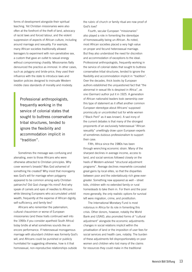forms of development alongside their spiritual teaching. Yet Christian missionaries were also often at the forefront of the theft of land, advocacy of racist laws and forced labour, and the violent suppression of aspects of African culture, including around marriage and sexuality. For example, many African societies traditionally allowed teenagers to experiment with non-penetrative sex, a custom that gave an outlet to sexual energy without compromising chastity. Missionaries flatly denounced the practice as immoral. In other cases, such as polygyny and bride-price, they used their influence with the state to introduce laws and taxation policies designed to insinuate Western middle class standards of morality and modesty.

> Professional anthropologists, frequently working in the service of colonial states that sought to buttress conservative tribal structures, tended to ignore the flexibility and accommodation implicit in "tradition".

Sometimes the message was confusing and alienating, even to those Africans who were otherwise attracted to Christian principles. Why cover women's breasts? Was God ashamed of something He created? Why insist that monogamy was God's will for marriage when polygamy appeared to be common among early Christian patriarchs? Did God change His mind? And why speak of camels and eyes of needles to Africans while blessing Europeans who accumulated untold wealth, frequently at the expense of African dignity, self-sufficiency, and family ties?

Africans who remember the paternalism, cultural chauvinism or worse of European missionaries (and these traits continued well into the 1990s if you consider apartheid South Africa) today bridle at what sometimes sounds like an encore performance. If heterosexual monogamous marriage with abundant children was formerly God's will, and Africans could be punished or publicly humiliated for suggesting otherwise, how is it that homosexual, non-reproductive relationships outside

the rubric of church or family ritual are now proof of God's love?

Fourth, secular European "missionaries" also played a role in fomenting the stereotype of homosexuality being un-African. As noted, most African societies placed a very high value on proper and fecund heterosexual marriage. But they also understood the need for discretion and accommodation of exceptions to the ideal. Professional anthropologists, frequently working in the service of colonial states that sought to buttress conservative tribal structures, tended to ignore the flexibility and accommodation implicit in "tradition". Over the decades, thick books by European authors established the unquestioned fact that "the abnormal in sexual life is despised in Africa", as one (German) author put it in 1925. A generation of African nationalist leaders took ownership over this type of statement as it offset another common European stereotype about Africans' supposed promiscuity or uncontrolled lust for white women ("Black Peril" as it was known). A sad irony of the current debates is that many of the strongest proponents of an exclusively heterosexual "African sexuality" unwittingly draw upon European experts of sometimes dubious professionalism to support their case.

Fifth, Africa since the 1980s has been through wrenching economic strain. Many of the sharpest declines in average income, access to land, and social services followed closely on the heels of Western-advised "structural adjustment programs". Average declines meanwhile concealed great gains by local elites, so that the disparities between poor and the ostentatiously rich grew evergreater. Something new appeared as well – street kids, children with no extended family or rural homesteads to take them in. For them and the poor more generally, the only realistic options for survival left were migration, crime, and prostitution.

The International Monetary Fund is most notorious in Africa for its role in fomenting this crisis. Other donors, however, notably the World Bank and USAID, also promoted forms of "cultural adjustment" alongside the economic adjustments: changes in social relations implicit within the privatisation of land or the imposition of user fees for social services and health care, notably. The burden of these adjustments fell disproportionately on poor women and children who lost many of the claims for resources they could make in the traditional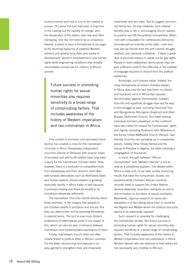moral economy and had to turn to the market to survive. Of course this turn had been a long time in the making but the rapidity of change, and the desperation of the sellers, was new and often dismaying. One did not need to be a conspiracy theorist, a sexist or even a homophobe to be angry at the stunning hypocrisy of powerful Western advisors and greedy local elites who spoke of development, women's empowerment, and human rights while engineering conditions that virtually necessitated survival sex for millions of Africa's poorest.

> Future success in promoting human rights for sexual minorities also requires sensitivity to a broad range of complicating factors. That includes awareness of the history of Western imperialism and neo-colonialism in Africa.

This context of economic and perceived moral decline has created a crisis for the mainstream churches in Africa. Breakaway independent churches (Zionist or Ethiopian with eclectic mixes of ancestral and witchcraft beliefs) have long been a worry for the mainstream Christian faiths. Now, however, there is a profusion of competition both from breakaways and from dynamic (and often well-funded) alternatives such as Wahhabist Islam and Pentecostalism. Pentecostalism is growing especially rapidly in Africa today in part because it promises healing and financial benefit to its sometimes-desperate adherents.

The mainstream churches cannot directly match those promises, or the imagery that appeals to pre-Christian beliefs in ancestors and sorcery. But they can defend their turf by branding themselves in populist terms. The turn to ever-more strident professions of heterosexual purity is one aspect of this, which can also be seen in tensions between mainstream and fundamentalist expressions of Islam.

Finally, mainstream church elites are often closely linked to political elites in African countries. For the latter, denouncing homosexuals is an easy gambit to strengthen their anti-imperialist

credentials and win votes. Not to suggest cynicism, but family ties, old-boy networks, and material benefits play a role in encouraging church leaders to publicly sanctify the political homophobia. When men with a reputation for ruthlessness denounce homosexuals as enemies of the state - men who may also be friends from the anti-colonial struggle, relatives, and personal confidants - it takes a great deal of personal bravery to speak out for gay rights. People in more established democracies may not give sufficient credit to this difficulty, or the subtlety of language required to dissent from the political leadership.

Amazingly, such bravery exists. Indeed, the noisy homophobia of certain Christian leaders in Africa obscures the fact that there is a liberal and humanist voice in Africa that opposes discrimination against homosexuals. Leaders from the anti-apartheid struggle have led the way in this struggle as well, including Desmond Tutu and Njongonkulu Ndungane (Anglican) and Allan Boesak (Reformed Church). But lower-ranking individual ministers elsewhere on the continent have also called for respect for homosexuals' rights and dignity, including Reverend John Makokha of the Riruta United Methodist Church (Kenya). Gayfriendly churches are springing up in unexpected places, notably Other Sheep Kenya and the House of Rainbow in Nigeria, the latter claiming a congregation of thousands.

In short, the split between "African homophobes" and "Western liberals" is not as neat as it sometimes appears. The debate within Africa is lively and, in my view, quietly producing results that belie the homophobic bluster. Six (predominantly Christian) African countries recently voted to support the United Nations General Assembly resolution calling for an end to discrimination on the basis of sexual orientation. Meanwhile, rigorous research on same-sex sexualities is in fact taking place even in countries like Nigeria and Malawi where the political discourse seems to be adamantly opposed.

Such research is essential for challenging the homophobic bluster. But future success in promoting human rights for sexual minorities also requires sensitivity to a broad range of complicating factors. That includes awareness of the history of Western imperialism and neo-colonialism in Africa. Western liberals who are oblivious to that history are not necessarily very credible to Africans.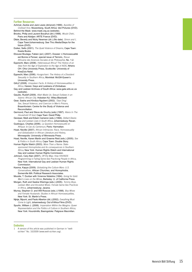#### **Further Resources**

- Achmat, Zackie and Jack Lewis (dir/prod) (1999). *Apostles of Civilised Vice*. Muizenberg, South Africa: Idol Pictures (DVD). Behind the Mask*:* www.mask.org.za (website).
- Brooks, Philip and Laurent Bocahut (dir) (1998). *Woubi Chéri*, Paris and Abidjan: ARTE France (DVD).
- Ditsie, Beverly and Nicky Newman (dir.) (No date). *Simon and I*, Cape Town/Johannesburg: See Thru Media/Steps for the future (DVD).
- Duiker, Sello (2001). *The Quiet Violence of Dreams*, Cape Town: Kwela Books.
- Eboussi Boulaga, Fabien (ed.) (2007). Dossier: L'Homosexualité est Bonne à Penser, special issue of Terroirs, *Revue Africaine des Sciences Sociales et de Philosophie*, No. 1-2.
- Epprecht, Marc (2008). *Heterosexual Africa? The History of an Idea from the Age of Exploration to the Age of AIDS,* Athens OH: Ohio University Press, Scottsville: University of KwaZulu-Natal.
- Epprecht, Marc (2006). *Hungochani: The History of a Dissident Sexuality in Southern Africa*, Montréal: McGill-Queen's University Press.
- GALZ (2008). *Unspoken Facts: A History of Homosexualities in Africa*. Harare: Gays and Lesbians of Zimbabwe.
- Gay and Lesbian Archives of South Africa: www.gala.wits.ac.za (website).
- Gaudio, Rudolf (2009). *Allah Made Us: Sexual Outlaws in an Islamic African City*. Hoboken NJ: Wiley-Blackwell.
- Gear, Sasha and Kindiza Ngubeni (2002). *'Daai Ding': Sex, Sexual Violence, and Coercion in Men's Prisons*, Braamfontein: Centre for the Study of Violence and Reconciliation.
- Germond, Paul and Steve de Gruchy (eds) (1997). *Aliens In The Household Of God,* Cape Town: David Philip.
- Gevisser, Mark and Edwin Cameron (eds.) (1994). *Defiant Desire: Gay and Lesbian Lives in South Africa*, Johannesburg: Ravan.
- Gueboguo, Charles (2006). *La Question Homosexuelle en Afrique: le Cas du Cameroun,* Paris: Harmattan.
- Hoad, Neville (2007)*. African Intimacies: Race, Homosexuality and Globalization in African Literature and History*, Minneapolis: University of Minnesota Press.
- Hoad, Neville, Karen Martin and Graeme Reid (eds.) (2005). *Sex & Politics in South Africa,* Cape Town: Double Story.
- Human Rights Watch (2003). *More Than a Name: Statesponsored Homophobia and its consequences in Southern Africa,* New York: Human Rights Watch and International Gay and Lesbian Human Rights Commission.
- Johnson, Cary Alan (2007). *Off the Map: How HIV/AIDS Programming is Failing Same-Sex Practicing People in Africa*, New York: International Gay and Lesbian Human Rights Commission.
- Kaoma, Kapya (2009). *Globalizing the Culture Wars: U.S. Conservatives, African Churches, and Homophobia,*  Somerville MA: Political Research Associates.
- Moodie, T. Dunbar with Vivienne Ndatshe (1994). *Going for Gold: Men's Lives on the Mines*, Berkeley: U. of California Press.
- Morgan, Ruth and Saskia Wieringa (eds.) (2005). *Tommy Boys, Lesbian Men and Ancestral Wives: Female Same-Sex Practices in Africa*, Johannesburg: Jacana.
- Murray, Stephen O. and Will Roscoe (eds.) (1998). *Boy-Wives and Female Husbands: Studies in African Homosexualities,* New York: St. Martin's Press.
- Njinje, Mpumi, and Paolo Alberton (dir.) (2002). *Everything Must Come to Light,* Johannesburg: Out of Africa Films (DVD).
- Spurlin, William J. (2006). *Imperialism Within the Margins: Queer Representation and the Politics of Culture in Southern Africa*, New York: Houndmills; Basingstoke: Palgrave Macmillan.

#### **Endnotes**

1 A version of this article was published in German in "weltsichten" No. 10/2009 (www.welt-sichten.org).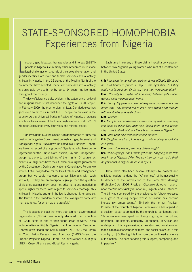# STATE-SPONSORED HOMOPHOBIA Experiences from Nigeria

L esbian, gay, bisexual, transgender and intersex (LGBTI) people in Nigeria like in many other African countries face legal challenges on grounds of their sexual orientation and gender identity. Both male and female same-sex sexual activity is illegal in Nigeria. In the 12 states of the Muslim North of the country that have adopted Sharia law; same-sex sexual activity is punishable by death or by up to 14 years imprisonment throughout the country.

The lack of tolerance is also evident in the statements of political and religious leaders that denounce the rights of LGBTI people. In February 2009, the then foreign minister, Ojo Maduekwe has gone even so far to claim that LGBTI people do not exist in the country. At the Universal Periodic Review of Nigeria, a process which involves a review of the human rights records of all 192 UN Member States once every four years, the minister stated:

"Mr. President, […] the United Kingdom wanted to know the position of Nigerian Government on lesbian, gay, bisexual and transgender rights. As we have indicated in our National Report, we have no record of any group of Nigerians, who have come together under the umbrella of "Lesbian, Gay and Transgender" group, let alone to start talking of their rights. Of course, as citizens, all Nigerians have their fundamental rights guaranteed by the Constitution. During our National Consultative Forum, we went out of our way to look for the Gay, Lesbian and Transgender group, but we could not come across Nigerians with such sexuality. If they are an amorphous group, then the question of violence against them does not arise, let alone negotiating special rights for them. With regard to same-sex marriage, this is illegal in Nigeria, and until the law is changed, it remains so. The British in their wisdom bestowed the law against same-sex marriage to us, for which we are grateful."

This is despite the fact that more than ten non-governmental organisations (NGOs) have openly declared the protection of LGBTI rights as one of their focus areas of work. These include Alliance Rights Nigeria, the International Centre for Reproductive Health and Sexual Rights (INCRESE), the Centre for Youth Policy Research and Advocacy (CYPRAD) and the Support Project in Nigeria (SPIN), The Initiative for Equal Rights (TIER), Queer Alliance and Global Rights Nigeria.

Each time I hear any of these claims I recall a conversation between two Nigerian young women who met at a conference in the United States:

**Chi:** *I travelled home with my partner. It was difficult. We could not hold hands in public. Funny, it was right there but they could not figure it out. Or do you think they were pretending?* **Kike:** *Possibly, but maybe not. Friendship between girls is often without extra meaning back home.*

**Chi:** *Funny. My parents know but they have chosen to look the other way. They remind me to get a man when I am through with my studies and settle down.*

#### **Kike:** *Silence*

**Chi:** *Many times people do not even know my partner is female, she looks so dyke! That may have fooled them in the village. Hey, come to think of it, are there butch women in Nigeria?* **Kike:** *And what have you been taking me for?*

**Chi:** *(laughing out loud) Interesting. Is this what dykes look like in Nigeria?*

**Kike:** *Hey, stop teasing, am I not dyke enough?*

**Chi:** *(still laughing) I can't wait to get home. I'm going to tell Pete that I met a Nigerian dyke. The way they carry on, you'd think no gays exist in Nigeria much less dykes.*

There have also been several attempts by political and religious leaders to deny the "Africanness" of homosexuality. In defence of the introduction of the Same Sex Marriage (Prohibition) Act 2006, President Obasanjo stated on national news that "homosexuality is unnatural, ungodly, and un-African". The bill was sponsored by the presidency to "check excesses of a group of young people whose behaviour has become increasingly embarrassing." Similarly the former Anglican Primate of the Church of Nigeria, Peter Akinola has argued in a position paper submitted by the church to parliament that: "Same sex marriage, apart from being ungodly, is unscriptural, unnatural, unprofitable, unhealthy, un-cultural, un-African and un-Nigerian. It is a perversion, a deviation and an aberration that is capable of engendering moral and social holocaust in this country. […] Outlawing it is to ensure the continued existence of this nation. The need for doing this is urgent, compelling, and imperative."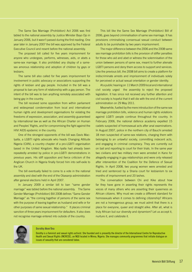The Same Sex Marriage (Prohibition) Act 2006 was first tabled to the national assembly by Justice Minister Bayo Ojo in January 2006, but it wasn't passed during the first reading. One year later in January 2007 the bill was approved by the Federal Executive Council and resent before the national assembly.

The proposed bill called for five years imprisonment for anyone who undergoes, performs, witnesses, aids, or abets a same-sex marriage. It also prohibited any display of a samesex amorous relationship and adoption of children by gays or lesbians.

The same bill also called for five years imprisonment for involvement in public advocacy or associations supporting the rights of lesbian and gay people. Included in the bill was a proposal to ban any form of relationship with a gay person. The intent of the bill was to ban anything remotely associated with being gay in the country.

The bill received some opposition from within parliament and widespread condemnation from local and international human rights and development organisations for violating the freedoms of expression, association, and assembly guaranteed by international law as well as the African Charter on Human and Peoples' Rights, and for compromising the fight against the HIV/ AIDS epidemic in the country.

One of the strongest opponents of the bill was Davis Mac-Iyalla, a LGBTI rights advocate who heads Changing Attitude Nigeria (CAN), a country chapter of a pro-LGBTI organisation based in the United Kingdom. Mac-Iyalla had already been repeatedly arrested by police in pro-LGBTI demonstrations in previous years. His stiff opposition and fierce criticism of the Anglican Church in Nigeria finally forced him into self-exile to the UK.

The bill eventually failed to come to a vote in the national assembly and died with the end of the Obasanjo administration after general elections held in April 2007.

In January 2009 a similar bill to ban "same gender marriage" was tabled before the national assembly. The Same Gender Marriage (Prohibition) Bill 2008 defines "Same Gender Marriage" as "the coming together of persons of the same sex with the purpose of leaving together as husband and wife or for other purposes of same sexual relationship." It places criminal sanction of three years imprisonment for defaulters. It also does not recognise marriage entered into outside of the country.

This bill like the Same Sex Marriage (Prohibition) Bill of 2006, goes beyond criminalisation of same sex marriage. It has provisions criminalising consensual sexual conduct between adults to be punishable by two years imprisonment.

The major difference between the 2006 and the 2008 same sex marriage prohibition bills is the provision of stiffer penalties for those who aid and abet or witness the solemnisation of the union between persons of same sex, meant to further alienate LGBTI persons and deny them access to support and services. Like the previous bill, the 2008 bill aims to create a platform for indiscriminate arrests and imprisonment of individuals solely for perceived or actual sexual orientation or gender identity.

At a public hearing on 11 March 2009 local and international civil society urged the assembly to reject the proposed legislation. It has since not received any further attention and civil society is hopeful that it will die with the end of the current administration on 29 May 2011.

Meanwhile, fuelled by the mere introduction of the same sex marriage prohibition bills, violence and human rights violations against LGBTI people continue throughout the country. In February 2006, the national defence academy expelled 15 cadets suspected of homosexual acts after anal examinations. In August 2007, police in the northern city of Bauchi arrested 18 men suspected of same-sex relations, charging them with belonging to an unlawful society, committing indecent acts, and engaging in criminal conspiracy. They are currently out on bail and reporting to court for their trials. In the same year two civilians and two military men were arrested in Kano for allegedly engaging in gay relationships and were only released after intervention of the Coalition for the Defence of Sexual Rights. In April 2008, two young women were arrested and tried and sentenced by a Sharia court for lesbianism to six months of imprisonment and 20 lashes.

The conversation between Chi and Kike about how far they have gone in asserting their rights represents the voices of many others who are asserting their queerness as African citizens. Why must we create a different standard for homosexuals when it comes to defining citizenship? Africans are not a homogenous group; we must admit that there is a place for everyone, queer and straight alike. After all, what is truly African but our diversity and dynamism? Let us accept it, nurture it, and celebrate it.



#### **Dorothy Aken'Ova**

Dorothy is a feminist and sexual rights activist. She founded and is presently the director of the International Centre for Reproductive Health and Sexual Rights (INCRESE), an NGO located in Minna, Nigeria. She manages community programmes that initiate dialogue on issues of sexuality that are considered taboo.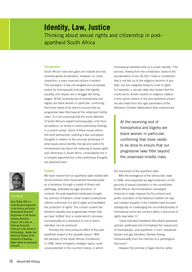## **Identity, Law, Justice**  Thinking about sexual rights and citizenship in postapartheid South Africa

#### **Introduction**

South Africa's hard won gains are notable and has received global acclamation. However, on closer inspection, a more nuanced picture is evident. The translation of law into tangible and accessible justice for homosexuals indicates that dignity, equality, and respect are a struggle still being waged. At the receiving end of homophobia and bigotry are black women in particular, confirming that more needs to be done to ensure that our progressive laws filter beyond the urbanised middle class.1 It is not surprising that the social attitudes of South Africans toward homosexuality, is far from acceptance, as shown in some preliminary findings in a recent survey.<sup>2</sup> Some of these issues inform this brief perspective, outlining a few conceptual thoughts in relation to the concrete landscape of what issues about identity, the law and justice for homosexuals say about the meaning of sexual rights and citizenship in South Africa. Undoubtedly this is a complex argument but a few preliminary thoughts are sketched here.

#### **Context**

We have moved from an apartheid state riddled with forced divisions that characterised homosexuality as a behaviour through a model of illness and pathology, motivated by legal sanctions. In contrast, the post-apartheid landscape brought the promise of freedom under broad constitutional reforms enshrined in a bill of rights and facilitated the protection of rights. The current context has therefore steadily and progressively shown that we have 'shifted' from a model which conceives homosexuality as a behaviour to one in which identities can be produced.

Perhaps the most profound effect of the postapartheid project is the equality clause.<sup>3</sup> With the adoption of the South African Constitution in 1996, there emerged a strategic space, quite unprecedented in the country's history, in which

homosexual identities took on a public identity.4 This process, flowing from the constitution, leads to the secularisation of sex. By this I mean a constitution that is not tied up to the religious doctrine of any faith, but one integrally linked to a bill of rights. For example, a secular state also implies that the courts are to remain neutral on religious matters. In this sense citizens in the post-apartheid project are also freed from the rigid parameters of the Afrikaner Christian Nationalism that underpinned

At the receiving end of homophobia and bigotry are black women in particular, confirming that more needs to be done to ensure that our progressive laws filter beyond the urbanised middle class.

the machinery of the apartheid state.

With the emergence of the democratic state in 1994, and supported by legal protection on the grounds of sexual orientation in the constitution, South African decriminalisation campaigns (induced in large measure by the activism and public education of the National Coalition for Gay and Lesbian Equality in the nineties) have focused strategically on challenging the unconstitutionality of homosexual same-sex conduct within a discourse of rights (see table 1).5

I have indicated elsewhere that where apartheid policed, politicised and criminalised the 'sexual acts' of homosexuals, post-apartheid, in turn, sexualised lesbian and gay identities, thereby freeing homosexuality from the clutches of a pathological discourse.6

However the promise of legal reforms, while



Vasu Reddy, PhD is a Chief Research Specialist in the Human and Social Development Research Programme at the Human Sciences Research Council. He is also an Honorary Associate Professor in the School of Anthropology , Gender and Historical Studies at the University of KwaZulu-Natal (where he previously lectured).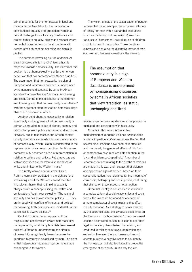bringing benefits for the homosexual in legal and material terms (see table 1), the translation of constitutional equality and protections remain a critical challenge for civil society to advance and protect rights to equality, dignity and respect where homophobia and other structural problems still persist, of which naming, shaming and denial is central.

The common prevailing culture of denial *vis á vis* homosexuality is in and of itself a hostile response towards homosexuality. The view from this position is that homosexuality is a Euro-American perversion that has contaminated African 'tradition'. The assumption that homosexuality is a sign of European and Western decadence is underpinned by homogenising discourses by some in African societies that view 'tradition' as static, unchanging and fixed. Central to this discourse is the common and totalising logic that homosexuality is 'un-African' with the argument often focused on homosexuality's absence in pre-colonial Africa.

Another point about homosexuality in relation to sexuality and language is that homosexuality is primarily shrouded in codes of silence, secrecy and taboos that prevent public discussion and exposure. However, public responses in the African context usually dramatise a contestation over the legitimacy of homosexuality, which I claim is constructed in the representation of same-sex practices. In this sense, homosexuality becomes a crisis of representation in relation to culture and politics. Put simply, gay and lesbian identities are therefore also racialised as white and limited to the Western male.<sup>7</sup>

This reality always confirms what Gayle Rubin theoretically predicted in the eighties (she was writing about the Western context then but it is relevant here), that re-thinking sexuality always entails reconceptualising the battles and contestations fought over sexuality: "The realm of sexuality also has its own internal politics […] They are imbued with conflicts of interest and political manoeuvring, both deliberate and incidental. In that sense, sex is always political."<sup>8</sup>

Central to this is the widespread cultural, religious and conservatism toward homosexuality, underpinned by what many feminists term 'sexual politics', a factor in understanding the circuits of power informing identity issues because the gendered hierarchy is sexualised by men. The point is that hetero-polar regimes of gender have made sex dangerous for women.

The violent effects of the sexualisation of gender, represented by for example, the socialised attribute of 'virility' for men within patriarchal institutions (such as the family, culture, religion) are often rape, sexual harassment, sexual abuse of children, prostitution and homophobia. These practices express and actualise the distinctive power of men over women. Because sexuality is the nexus of

The assumption that homosexuality is a sign of European and Western decadence is underpinned by homogenising discourses by some in African societies that view 'tradition' as static, unchanging and fixed.

relationships between genders, much oppression is mediated and constituted within sexuality.

Notable in this regard is the violent manifestation of gendered violence against black lesbians in particular. Over and above the fact that several black lesbians have been both attacked and murdered, the gendered effects of this form of homophobia have received little attention in the law and activism post-apartheid.<sup>9</sup> A number of recommendations relating to the deaths of lesbians are made in this text, and I suggest that violence and oppression against women, based on their sexual orientation, has relevance for the meaning of citizenship, belonging and social justice, confirming that silence on these issues is not an option.

Given that identity is constructed in relation to a complex pattern of social relationships and social forces, the law could be viewed as one facet of a more complex set of social relations that affect identity formation. As a strategy of power enacted by the apartheid state, the law also placed limits on the freedom for the homosexual.<sup>10</sup> The homosexual became a contested person in relation to apartheid legal formulation; characterised by derision, and produced in relation to struggle, domination and exclusion. However, the law, it seems, does not operate purely in a negative sense to dis-identify the homosexual, but also facilitates the productive emergence of an identity. In this way the law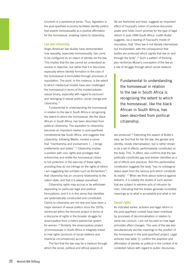functions in a paradoxical sense. Thus, legislation in the post-apartheid economy facilitates identity politics that asserts homosexuality as a positive affirmation for the homosexual, enabling claims to citizenship.

#### **Law and citizenship**

Anglo-American law studies have demonstrated how sexuality, especially homosexuality, has come to be configured as an object of identity via the law. This implies that the law cannot be understood as neutral or objective, but rather that it is discursive, especially where identity formation in the case of the homosexual is formulated through processes of repudiation. The point, in this instance, is the extent to which intellectual models have also challenged the homosexual in terms of the insider/outsider sexual binary, especially with regard to exclusion and belonging in sexual politics, social change and citizenship.<sup>11</sup>

Fundamental to understanding the homosexual in relation to the law in South Africa is recognising the extent to which the homosexual, like the black African in South Africa, has been described from political citizenship. The aspiration to citizenship becomes an important marker in post-apartheid constitutional law South Africa, and suggests that citizenship, following Weeks, invokes a sense that "membership and involvement, […] brings entitlements and duties".12 Citizenship implies a position with civic rights and privileges that enfranchise and entitle the homosexual citizen to full protection in the exercise of these rights, providing they do not infringe on the rights of others. I am suggesting like scholars such as Richardson<sup>13</sup>, that citizenship has an uncanny relationship to the nation-state, and that it is always sexualised.

Citizenship rights may accrue or be withdrawn depending on particular legal and political formulations, and it is in this sense that identities are systematically constructed and constituted. Claims to citizenship are not new and have been a major element of sexual politics since the 1970s, reinforced within the feminist project in terms of a discourse of rights in the broader struggle for emancipation from a hetero-patriarchal system for women.14 Similarly, the emancipatory project of homosexuals in South Africa is integrally linked to how rights (products of social relations and historical circumstances) accrue.

The fact that the law may be a medium through which the social, political and ethical aspects of

life are fashioned and lived, suggests an important effect of Foucault's notion of juridical-discursive power and holds much promise for the type of legal reform in post-1994 South Africa. Judith Butler suggests, via a reading of Foucault's model of inscription, that "[the] law is not literally internalised, but incorporated, with the consequence that bodies are produced which signify that law on and through the body".15 Such a pattern of thinking also reinforces Moran's conception of the law as a site of struggle through which social relations

Fundamental to understanding the homosexual in relation to the law in South Africa is recognising the extent to which the homosexual, like the black African in South Africa, has been described from political citizenship.

are produced.16 Extending this aspect of Butler's idea, we find that for her the law, like gender and identity, resists internalisation, but is rather shown to be a set of effects, performatively constituted on the body. This, in effect, also confirms that the law politically constitutes gay and lesbian identities as a set of effects and practices. And this performative constitution suggests the body "has no ontological status apart from the various acts which constitute its reality".17 When we think about violence against lesbians, it is notably the *bodies* of such women that are subject to extreme acts of intrusion by men, indicating that the bodies generate incredible meanings as to what is acceptable and what is not.

#### **Sexual rights**

As indicated earlier, activism and legal reform in the post-apartheid context have been mobilised by processes of decriminalisation in relation to same-sex conduct. I am not focused on how legal principles effect changes. The uses of the law also simultaneously ascribe meanings to the position of the homosexual in the post-apartheid project. Legal victories (see table 1), confirm the assertion and affirmation of identity as political in the context of its contested nature with regard to public discourses.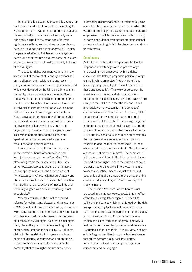In all of this it is assumed that in this country, up until now we worked with a model of sexual rights. My assertion is that we did not, but that is changing. Instead, initially our claims about sexuality were principally aligned to the meanings of human rights as something we should aspire to achieving because it did not exist during apartheid. It is also the gendered effects of violence (notably genderbased violence) that have brought some of us closer in the last few years to rethinking sexuality in terms of sexual rights.

The case for rights was more dominant in the second half of the twentieth century, and focused on mobilisation and resistance to oppression in many countries (such as the case against apartheid which was declared by the UN as a crime against humanity). Likewise sexual orientation in South Africa was also framed in relation to human rights that focus on the rights of sexual minorities within a universalist conception that often overlooks the historical specifications of regions and nations. But, the overarching philosophy of human rights is premised on promoting human rights in terms of developing solidarity with individuals and organisations whose own rights are jeopardised. This was in part an effect of the global antiapartheid effort, which secured a peaceful resolution to the apartheid crisis.

I conceive human rights for homosexuals, in the context of South African politics and legal jurisprudence, to be *performative*. 18 The effect of rights on the private and public lives of homosexuals serves to expand and reinforce the life opportunities.<sup>19</sup> In the specific case of homosexuality in Africa, legitimation of attack and abuse is constructed as a message that deviation from traditional constructions of masculinity and femininity aligned with African patriarchy is not acceptable.<sup>20</sup>

Whereas activism in the nineties secured reforms for lesbian, gay, bisexual and transgender (LGBT) people in terms of human rights, we are now witnessing, particularly the emerging activism related to violence against black lesbians to be premised on a model of sexual rights. As such, sexual rights then, places the premium on intersecting factors of race, class, gender and sexuality. Sexual rights claims in this model of thinking responds to an ending of violence, discrimination and prejudice. Indeed such an approach also alerts us to the possibility that sexual rights are not simply about

intersecting discriminations but fundamentally also about the ability to live in freedom, one in which the values and meanings of pleasure and desire are also emphasised. Black lesbian activism in this country is increasingly demonstrating that an intersectional understanding of rights is to be viewed as something transformative.

#### **Conclusions**

As indicated in this brief perspective, the law has responded in both negative and positive ways in producing the homosexual within a rights discourse. The latter, a pragmatic political strategy, claims Stychin, emanates "not only from those favouring progressive legal reform, but also from those opposed to it".21 This view underscores the resistance to the apartheid state's intention to further criminalise homosexuality by the Law Reform Group in the 1960s.<sup>22</sup> In fact the law constitutes and regulates homosexuality in the context of decriminalisation in South Africa. A second, related issue is that the law controls the promotion of homosexuality. Like Stychin<sup>23</sup>, I am suggesting that in the process of constitutional recognition, and the process of decriminalisation that has evolved since 1994, the law constructs, inscribes and constitutes the homosexual as a regulatory force. It is also possible to deduce that the homosexual (at least when pertaining to the law) in South Africa becomes a consumer of citizenship rights. The homosexual is therefore constituted in the intersection between law and human rights, where the question of equal protection before the law is interpreted in relation to access to justice. Access to justice for LGBT people, is being given a new dimension by the kind of activism displayed against 'corrective rape' of black lesbians.

The possible 'freedom' for the homosexual proposed in the above view suggests that an effect of the law as a regulatory regime, is indeed its political significance, which is reinforced by the right to express agency (political action) in relation to rights claims. The legal recognition of homosexuality in post-apartheid South Africa demonstrates a particular political formation of gay subjectivity, a feature that is marked by opposition and resistance. Decriminalisation (see table 1), in my view, similarly entails forging identities through acts of resistance that affirm homosexuality, facilitate identity formation as political, and recuperate rights to citizenship and belonging.24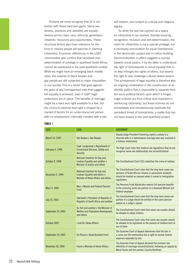Similarly we must recognise that all is not kosher with these hard won gains. Same-sex desires, practices and identities are equally diverse across class, race, ethnicity, generation, networks, resources and opportunities. These structural factors also have relevance for the kind of *choices* people will exercise in claiming citizenship. Economic differences in the LGBT communities also confirm that racialised overdetermination of privilege in apartheid South Africa, cannot be overlooked in the post-apartheid context. While we might have an emerging black middle class, the majority of black lesbian and gay people are still subjected to major inequalities in our society. This is a factor that goes against the grain of any homogenised view that suggests full equality is achieved, even if LGBT legal protections are in place. The benefits of marriage might be a hard won right available to a few, but the choice to exercise that right is shaped by a myriad of factors for an under-resourced person with no employment, internally closeted with a low

self-esteem, and subject to cultural and religious bigotry.

So while the law has opened up a space for citizenship to be claimed, thereby ensuring recognition, inclusion and self-determination, the claim for citizenship is not a special privilege, but a necessary precondition for equal membership in the democratic project and in nation-building. Decriminalisation in effect suggests a journey towards social justice, if by the latter is understood the right of homosexuals to social equality that in no way infringes the rights of others, but asserts the right to also challenge cultural hetero-sexism. The achievement of legal equality is therefore also an ongoing contestation in the construction of an identity politics that is impossible to separate from the socio-political factors upon which it hinges. Legal victories are thus critical and important in reinforcing citizenship, but these victories do not immediately and simultaneously eradicate the persistent threat of homophobia, a reality that has not been erased in the post-apartheid project.

|--|

| <b>DATE</b>        | CASE                                                                                                          | <b>JUDGEMENT</b>                                                                                                                                                                                    |
|--------------------|---------------------------------------------------------------------------------------------------------------|-----------------------------------------------------------------------------------------------------------------------------------------------------------------------------------------------------|
| March 10, 1993     | Van Rooyen v Van Rooyen                                                                                       | Deputy Judge President Flemming rejects custody to a<br>divorced wife in a heterosexual marriage who was involved in<br>a lesbian relationship                                                      |
| February 4, 1998   | Capt. Langemaat v Department of<br><b>Correctional Services, Safety and</b><br><b>Security</b>                | The High Court rules that medical aid regulations that do not<br>recognise same-sex relationships are unconstitutional                                                                              |
| October 9, 1998    | <b>National Coalition for Gay and</b><br>Lesbian Equality and another v<br>Minister of Justice and others     | The Constitutional Court (CC) abolishes the crime of sodomy                                                                                                                                         |
| December 2, 1999   | <b>National Coalition for Gay and</b><br>Lesbian Equality and others v<br>Minister of Home Affairs and others | The Constitutional Court rules that the long-term same-sex<br>partners of South African citizens or permanent residents<br>should be treated as spouses when it comes to immigration<br>regulations |
| May 13, 2002       | Muir y Mutual and Federal Pension<br>Fund                                                                     | The Pensions Fund Adjudicator awards full pension benefits<br>to the surviving same sex partner of a deceased Mutual and<br><b>Federal employee</b>                                                 |
| July 25, 2002      | Satchwell v President of Republic of<br>Republic of South Africa and another                                  | The Constitutional Court ruled that the long-term same-sex<br>partner of a judge should be entitled to the same pension<br>payout as a judge's spouse                                               |
| September 10, 2002 | Du Toit and another y the Minister of<br><b>Welfare and Population Development</b><br>and others              | The Constitutional Court ruled that same-sex couples should<br>be allowed to adopt children                                                                                                         |
| October 2002       | <b>Jand B v Home Affairs</b>                                                                                  | The Constitutional Court rules that same-sex couples should<br>be allowed to be registered as the parents of children born to<br>one of them                                                        |
| September 19, 2003 | Du Plessis v Road Accident Fund                                                                               | The Supreme Court of Appeal determines that the heir in<br>a same-sex life relationship has a right to recover funeral<br>expenses expended by him                                                  |
| November 30, 2004  | <b>Fourie v Minister of Home Affairs</b>                                                                      | The Supreme Court of Appeal declared the common-law<br>definition of marriage unconstitutional, following an appeal by<br>Marie Fourie and her partner, Cecelia Bonthuys                            |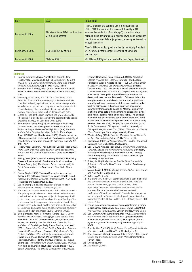| <b>DATE</b>       | <b>CASE</b>                                                  | <b>JUDGEMENT</b>                                                                                                                                                                                                                                                                                                                 |
|-------------------|--------------------------------------------------------------|----------------------------------------------------------------------------------------------------------------------------------------------------------------------------------------------------------------------------------------------------------------------------------------------------------------------------------|
| December 8, 2005  | Minister of Home Affairs and another<br>y Fourie and another | The CC endorses the Supreme Court of Appeal decision<br>(30/11/04) that confirms the unconstitutionality of (1)<br>common law definition of marriage; (2) current marriage<br>formula. Such declarations are deemed invalid and suspended<br>for 12 months from date of judgement, allowing parliament to<br>correct the defects |
| November 30, 2006 | Civil Union Act 17 of 2006                                   | The Civil Union Act is signed into law by the Deputy President<br>of SA, providing for the legal recognition of same-sex<br>partnerships                                                                                                                                                                                         |
| December 6, 2006  | State vs NCGLE                                               | Civil Union Bill Signed into Law by the then Deputy President                                                                                                                                                                                                                                                                    |

#### **Endnotes**

- 1 See for example: Mkhize, Nonhlanhla; Bennett, Jane; Reddy, Vasu; Moletsane, R. (2010). *The Country We Want to Live in: Hate Crimes and homophobia in the lives of black lesbian South Africans.* Cape Town: HSRC Press.
- 2 Roberts, Ben & Reddy, Vasu (2008). Pride and Prejudice: Public attitudes toward homosexuality. *HSRC Review*, 6(4): 9-11.
- 3 According to Section 9, Act 108 of the Constitution of the Republic of South Africa, no one may: unfairly discriminate directly or indirectly against anyone on one or more grounds, including race, gender, sex, pregnancy, marital status, ethnic or social origin, colour, sexual orientation, age, disability, religion, conscience, belief, culture, language and birth.
- 4 Signed by President Nelson Mandela into law at Sharpeville (the scene of a bloody massacre by the apartheid state against protestors in 1960) on December 10th, 1996.
- 5 See: Reddy, Vasu (2009). Queer Marriage: Sexualising Citizenship and the development of freedoms in South Africa. In: Steyn, Melissa & Van Zyl, Mikki (eds) *The Prize and the Price: Shaping Sexualities in South Africa*. Cape Town: HSRC Press; Reddy, Vasu (2006). Decriminalisation of homosexuality in post-apartheid South Africa: A brief legal case history review from sodomy to marriage. *Agenda, 67:*   $146 - 157$ .
- Reddy, Vasu; Sandfort, Theo & Rispel, Laetitia (eds) (2009). *From Social Silence to Social Science: Same-Sex Sexuality, HIV & AIDS and Gender in South Africa*. Cape Town: HSRC Press.
- 7 Reddy, Vasu (2001). Institutionalizing Sexuality: Theorising Queer in Post-Apartheid South Africa. In: Constantine-Simms, Delroy (ed) *The Greatest Taboo: Homosexuality in Black Communities*. Los Angeles and New York: Alyson Press.
- Rubin, Gayle (1984). Thinking Sex: notes for a radical theory in the politics of sexuality. In: Vance, Carole S. (ed) *Pleasure and Danger: Exploring Female Sexuality.* New York: Routledge and Kegan Paul, p. 267.
- 9 See for example a detailed exposition of these issues in Mkhize, Bennett, Reddy & Moletsane (2010).
- 10 The Law is an important consideration in this chapter as well. The primary empirical context refers to how the law frames a possible freedom for the queer subject in the post-apartheid project. Much has been written about the legal framing of the homosexual that this argument addresses in relation to the specific cases to be cited, and the meanings such cases elicit for understanding queer identities. Relevant critical studies in the area of the law are: Moran (1996); Stychin (1995).
- 11 See: Bernstein, Mary & Reimann, Renate (2001). *Queer Families, Queer Politics: Challenging Culture and the State*. New York: Columbia University Press; Bell, Dianne and Binnie, Jon. (2000). *The Sexual Citizen: Queer Politics and Beyond*. Cambridge: Polity Press; Blasius, Mark (ed) (2001). *Sexual Identities, Queer Politics*. Princeton: Princeton University Press; Cooper, Davina (1994). *Sexing the City: Lesbian and Gay Politics Within the Activist State*. London: Rivers Oram Press; Currah, Paisley (1997). Politics, Practices, Publics: Identity and Queer Rights*.* In: Phelan, Shane (ed) *Playing With Fire: Queer Politics, Queer Theories*. New York and London: Routledge; Evans, David (1993). *Sexual Citizenship: The Material Construction of Sexualities*.

London: Routledge; Fuss, Diana (ed) (1991). *Inside/out: Lesbian Theories, Gay Theories*. New York and London: Routledge; Wilson, Angelia R. (ed) (1995). *A Simple Matter of Justice? Theorising Gay and Lesbian Politics*. London: Cassell. Fuss (1991) focuses to a limited extent on the law. These studies have as a common purpose the interrogation of sexuality, queer politics and citizenship, some which directly address the law. Discussion of citizenship is not a new phenomenon in relation to the law and, in particular, sexuality. Although my argument does not prioritise earlier work on citizenship, subsequent analyses have drawn extensively from a model based on Marshall primarily in relation to three sets of rights informing citizenship: civil or legal rights, political rights and social rights. The question of gender and sexuality has been, for the most part, been absent from much scholarship on citizenship until the early nineties. See: Marshall, T.H. (1977). *Class, Citizenship and Social Development*. Chicago and London: University of Chicago Press; Marshall, T.H. (1950). *Citizenship and Social Class*. Cambridge: Cambridge University Press.

- 12 Weeks, Jeffrey (1995). *Invented Moralities: Sexual Values in an Age of Uncertainty*. Oxford: Polity Press, p.117.
- 13 Richardson (2000). *Rethinking Sexuality*. London, Thousand Oaks and New Delhi: Sage Publications.
- 14 See: Gouws, Amanda (ed) (2005). *(Un)Thinking Citizenship: Feminist Debates in Contemporary South Africa*. Burlington, VT: Ashgate Publishing & Lansdowne, CT: UCT Press; Millet, Kate (2000). *Sexual Politics*. Urbana and Chicago: University of Illinois Press.
- 15 Butler, Judith (1999). *Gender Trouble: Feminism and the Subversion of Identity*. New York and London: Routledge, p. 134-135.
- 16 Moran, Leslie J. (1996). *The Homosexual(ity) of Law*. London and New York: Routledge, p. 9.
- 17 Butler (1999), p. 136.
- 18 In Butler's view the act, or activity of gender is both intentional and performative where the latter entails public, repetitive actions of movement, gesture, posture, dress, labour, production, interaction with objects, and the manipulation of space. The term 'performative' has less to do with 'performance' than it has to do with "the effect of a regulatory regime of gender difference in which genders are divided and hierarchised". See: Butler, Judith (1993). Critically queer. GLQ, 1 (1): 17-32.
- 19 For an expanded discussion of human rights from a variety of disciplinary perspectives see: Savić, Obrad (ed) (1999). *The Politics of Human Rights*. London and New York: Verso.
- 20 See: Dunton, Chris & Palmberg, Mai (1996). *Human Rights and Homosexuality in Southern Africa*. Uppsala: Nordiska Afrikainstituet; Reddy, Vasu (2001). Homophobia, human rights and gay and lesbian equality in Africa. *Agenda*, 50: 83-87.
- 21 Stychin, Carl F. (1995). *Law's Desire: Sexuality and the Limits of Justice*. London and New York: Routledge, p. 3.
- 22 See: Gevisser, Mark & Cameron, Edwin (eds). 1994. *Defiant Desire: gay and lesbian lives in South Africa*. Braamfontein: Ravan Press.
- 23 Stychin (1995).
- 24 See: Reddy (2006).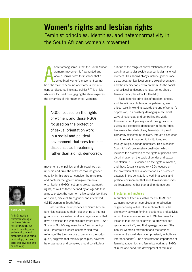## **Women's rights and lesbian rights**  Feminist principles, identities, and heteronormativity in the South African women's movement

belief among some is that the South African women's movement is fragmented and weak.<sup>1</sup> Gouws notes for instance that a demobilised women's movement cannot hold the state to account, or enforce a feministcentred discourse into state politics.2 This article, while not focused on engaging the state, explores the dynamics of this 'fragmented' women's

> NGOs focused on the rights of women, and those NGOs focused on the protection of sexual orientation work in a social and political environment that sees feminist discourses as threatening, rather than aiding, democracy.

movement; the 'politics' and philosophies that underlie and drive the activism towards gender equality. In this article, I consider the principles and contexts that govern non-governmental organisations (NGOs) set up to protect women's rights, as well as those defined by an agenda that of lesbian, bisexual, transgender and intersexed (LBTI) women in South Africa.

aims to protect the non-normative gender identities Salo narrates the importance of South African

feminists negotiating their relationships to interest groups, such as lesbian and gay organisations, that have diversified the women's movement post-1994.3 Similarly, Gqola's argument for a "re-sharpening of our interpretive lenses accompanied by a refining of the tools we use to demolish the status quo"4 , suggests that feminist principles, however heterogeneous and complex, should constitute a

critique of the range of power relationships that exist in a particular society at a particular historical moment. This should always include gender, race, class, geographical location and sexual orientation, and the intersections between them. As the social and political landscape changes, so too should feminist principles allow for flexibility.

Basic feminist principles of freedom, choice, and the ultimate obliteration of patriarchy, are critical tools in working towards the end of women's oppression; in abolishing damaging masculinist ways of looking at, and controlling the world. However, in multiple ways, and through various guises, our ostensible democracy in South Africa has seen a backlash of any feminist critique of patriarchy reflected in the state, through discourses of culture, within academic institutions, and through religious fundamentalism. This is despite South Africa's progressive constitution which includes the protection of the rights of persons from discrimination on the basis of gender and sexual orientation. NGOs focused on the rights of women, and those (usually separate) NGOs focused on the protection of sexual orientation as a protected category in the constitution, work in a social and political environment that sees feminist discourses as threatening, rather than aiding, democracy.

#### **Fractures and ruptures**

A number of fractures within the South African women's movement complicate an eradication of gender inequalities. One such fracture is the dichotomy between feminist academics and activists within the women's movement. Mtintso notes for instance that this dichotomy is "a drawback for gender equality"5 , and that synergy between "the popular women's movement and the feminist movement should also be emphasised, as both are interdependent"6 . She articulates the importance of feminist academics and feminists working at NGOs: "On the one hand, the development of feminist



#### **Nadia Sanger**

Nadia Sanger is a researcher working at the Human Sciences Research Council. Her interests include gender and sexuality, cultural production, human-animal relationships, cats, and books that have nothing to do with reality.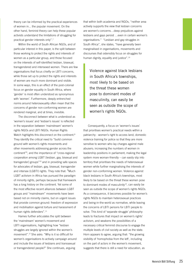theory can be informed by the practical experiences of women in... the popular movement. On the other hand, feminist theory can help these popular activists understand the limitations of struggling for practical gender interests only".<sup>7</sup>

Within the world of South African NGOs, and of particular interest in this paper, is the split between those working to protect the rights and interests of women as a particular group, and those focused on the interests of self-identified lesbian, bisexual, transgendered and intersexed women. There are few organisations that focus chiefly on LBTI concerns, while those set up to protect the rights and interests of women are much more dominant and visible. In some ways, this is an effect of the post-colonial focus on gender equality in South Africa, where 'gender' is most often understood as synonymous with 'women'. Furthermore, deeply entrenched norms around heterosexuality often mean that the concerns of gender non-conforming women are rendered marginal, and at times, invisible.

The disconnect between what is understood as 'women's issues' and 'lesbian's issues' is reflected in the separation between 'mainstream' women's rights NGOs and LBTI NGOs. Human Rights Watch highlights this disconnect on the continent.<sup>8</sup> They identify the critical need to "build common ground with women's rights movements and other movements addressing gender across the continent"9 , and the importance of "cross-regional cooperation among LGBT [lesbian, gay, bisexual and transgender] groups"10 and in providing safe spaces for advocates of lesbian, gay, bisexual, transgender and intersex (LGBTI) rights. They note that: "Much LGBT activism in Africa has pursued the paradigm of minority rights, perhaps because that framework has a long history on the continent. Yet some of the most effective recent alliances between LGBT groups and "mainstream" movements have been based not on minority claims, but on urgent issues that provide common ground: freedom of expression and mobilisation against torture and harassment of human rights defenders".<sup>11</sup>

Hames further articulates the split between the 'mainstream' women's movement and LBTI organisations, highlighting how "lesbian struggles are largely ignored within the women's movement".12 She asks: "Why is it so difficult for women's organisations to actively campaign around and include the issues of lesbians and transsexual or transgendered people?" She continues, arguing

that within both academia and NGOs, "neither area actively supports the view that lesbian concerns are women's concerns…deep prejudices against lesbians and gays persist …even in certain women's organisations." "Lesbian and gay struggles in South Africa", she states, "have generally been marginalised in organisations, movements and discourses that ostensibly focus on struggles for human dignity, equality and justice".<sup>13</sup>

Violence against black lesbians in South Africa's townships, most likely to be based on the threat these women pose to dominant modes of masculinity, can easily be seen as outside the scope of women's rights NGOs.

Consequently, a focus on 'women's issues' that prioritises women's practical needs within a patriarchy - women's right to access land; domestic violence training for police so that they are more sensitive to women who lay charges against male abusers; increasing the numbers of women in leadership positions in parliament; making the legal system more woman-friendly – can easily slip into territory that prioritises the needs of heterosexual women while further marginalising the interests of gender non-conforming women. Violence against black lesbians in South Africa's townships, most likely to be based on the threat these women pose to dominant modes of masculinity $14$ , can easily be seen as outside the scope of women's rights NGOs. As a consequence, it becomes possible for women's rights NGOs to maintain heterosexual practices and being-in-the-world as normative, while leaving the concerns of LBTI persons for LBTI people to solve. This kind of 'separate struggle' philosophy leads to fractures that impact on women's rights' activism, and weakens the possibilities of a necessary critical feminist discourse to engage the multiple levels of civil society as well as the state. Horn appears to agree, arguing that: "the growing visibility of 'homophobia from the left', including on the part of actors in the women's movement, suggests that there is still a need for education, as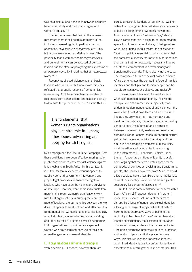well as dialogue, about the links between sexuality, heteronormativity and the broader agenda of women's equality".15

She further argues that "within the women's movement there is still notable antipathy to the inclusion of sexual rights, in particular sexual orientation, as a serious advocacy issue"16. This is the case even when, as Mtetwa argues, "the possibility that a woman who transgresses social and cultural norms can be accused of being a lesbian has the effect of paralysing the expression of all women's sexuality, including that of heterosexual women".17

Recently publicised violence against black lesbians who live in South Africa's townships has reflected that a public response from feminists is necessary. And there have been a number of responses from organisations and coalitions set up to deal with this phenomenon, such as the 07-07-

### It is fundamental that women's rights organisations play a central role in, among other issues, advocating and lobbying for LBTI rights.

07 Campaign and the One-in-Nine Campaign. Both these coalitions have been effective in bringing to public consciousness heterosexist violence against black lesbians in South Africa. In this context, it is critical for feminists across various spaces to publicly demand government intervention, and proper legal processes to ensure the rights of lesbians who have been the victims and survivors of hate rape. However, while some individuals from more 'mainstream' women's organisations work with LBTI organisations in curbing the 'corrective rape' of lesbians, the partnerships between the two does not appear to be structured and effective. It is fundamental that women's rights organisations play a central role in, among other issues, advocating and lobbying for LBTI rights as well as supporting LBTI organisations in providing safe spaces for women who are victimised because of their nonnormative gender and sexual identities.

#### **LBTI organisations and feminist principles**

Within certain LBTI spaces, however, there are

particular essentialist ideas of identity that weaken rather than strengthen feminist ideologies necessary to build a strong feminist women's movement. Notions of an authentic 'lesbian' or 'gay' identity plays a significant role in fixing rather than creating space to critique an essential way of being-in-theworld. Cock notes, in this regard, the existence of: "a form of political essentialism which asserts that the homosexual identity "trumps" all other identities and claims that homosexuality necessarily implies an intrinsic commitment to a revolutionary and transformative agenda. This is clearly not the case. The complicated terrain of sexual politics in South Africa demonstrates the competing force of multiple identities and that gay and lesbian people can be deeply conservative, exploitative, and racist".18

One example of this kind of essentialism is when self-identified lesbian identity involves the encapsulation of a masculine subjectivity that understands dominance, control and violence – the values that (mostly) boys learn and are socialised into as they grow into men – as normative and ideal. In this instance, the mirroring of an unhealthy gender binary (male/female) and destructive heterosexual masculinity sustains and reinforces damaging gender constructions, rather than disrupt patriarchal heteronormativity.19 A critique of the emulation of damaging heterosexual masculinity must be articulated by organisations working in the interests of LBTI persons. Butler's use of the term 'queer' as a critique of identity is useful here. Arguing that the term creates space for the complexity of our lives as 'evolving and transforming' people, she narrates how: "the word "queer" would allow people to have a less fixed and normative idea of what their identity is and permit them a greater vocabulary for gender infrasexuality".20

While there is some resistance to the term within South African LBTI spaces, due to its 'northern' roots, there is some usefulness of the term to disrupt fixed ideas of gender and sexual identities, allowing for a range of subjectivities that disturb harmful heteronormative ways-of-being in the world. By subscribing to 'queer', rather than strict identity constructions, the existence of the range of non-normative gender and sexual subjectivities - including alternative heterosexual roles, practices and relationships – can find a place. In some ways, this also reduces the imperative inherent within fixed identity labels to conform to particular expectations of a 'straight' or 'lesbian' marker. This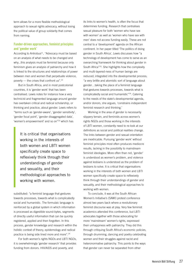term allows for a more flexible methodological approach to sexual rights advocacy, without losing the political value of group solidarity that comes from naming.

#### **Funder-driven approaches, feminist principles and 'gender work'**

According to Antrobus<sup>21</sup>, "Advocacy must be based on an analysis of what needs to be changed and why...this analysis must be feminist because only feminism gives an analysis of patriarchy and how it is linked to the structures and relationships of power between men and women that perpetuate violence, poverty — the crises that confront us".22

But in South Africa, and in most postcolonial countries, it is 'gender work' that has been centralised. Lewis notes for instance how a very technicist and fragmented language around gender has overtaken critical and radical scholarship, or thinking and practice, about gender. Lewis refers to "terms such as 'gender-aware', 'gender sensitivity', 'gender focal point', 'gender disaggregated data', 'women's empowerment' and so on"23 which has

> It is critical that organisations working in the interests of both women and LBTI women specifically create space to reflexively think through their understandings of gender and sexuality, and their methodological approaches to working with women.

substituted: "a feminist language that gestures towards processes, towards what is complicatedly social and humanistic. The formulaic language is reinforced by a global system in which information is processed as digestible sound-bytes, segments of directly useful information that can be quickly registered, applied and then forgotten. In this process, gender knowledge and research within the holistic context of theory, epistemology and radical practice is being side lined more and more".24

For both women's rights NGOs and LBTI NGOs, it is overwhelmingly 'gender research' that provides funding from donors. HIV/AIDS and poverty, and

its links to women's health, is often the focus that determines funding. Research that centralises sexual pleasure for both 'women who have sex with women' as well as 'women who have sex with men' does not access funding easily. These are not central to a 'development' agenda on the African continent. In her paper titled 'The politics of doing gender in South Africa', Lewis discusses how "a technology of development has come to serve as an overarching framework for thinking about gender in South Africa"25. She highlights how the complexity and multi-layered-ness of human beings are reduced; integrated into the developmental process; "a very brittle and atomistic sort of language about gender…taking the place of a feminist language that gestures towards processes, towards what is complicatedly social and humanistic"26. Catering to the needs of the state's developmental agenda, and/or donors, she argues, 'constrains independent feminist research and thinking.'

Working in the area of gender is necessarily slippery terrain, and feminists across women's rights NGOs and those working in the interests of LBTI women, constantly need to re-look at our definitions as social and political realities change. The links between gender and sexual orientation are inextricable. Pursuing 'gender work' without feminist principles most often produces mediocre results, lacking in the possibility to mainstream feminist ideologies. More often than not, 'gender' is understood as women's problem, and violence against lesbians is understood as the problem of lesbians to solve. It is critical that organisations working in the interests of both women and LBTI women specifically create space to reflexively think through their understandings of gender and sexuality, and their methodological approaches to working with women.

To conclude, it was at the South African Women's Initiative's (SAWI) protest conference almost two years back where a revolutionary feminist discourse was at play. Very few feminist academics attended this conference, but LBTI advocates together with those advocating for more 'mainstream' women's rights, expressed their unhappiness with patriarchy. They did this through critiquing South Africa's economic policies, through drumming, dancing and poetry celebrating women and their struggles against racist and heteronormative patriarchy. This points to the ways that gender can never be separated from other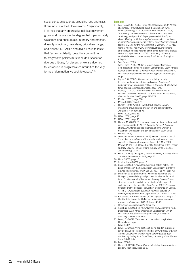social constructs such as sexuality, race and class. It reminds us of Bell Hooks words: "Significantly, I learned that any progressive political movement grows and matures to the degree that it passionately welcomes and encourages, in theory and practice, diversity of opinion, new ideas, critical exchange, and dissent. [...] Again and again I have to insist that feminist solidarity rooted in a commitment to progressive politics must include a space for rigorous critique, for dissent, or we are doomed to reproduce in progressive communities the very forms of domination we seek to oppose".27

#### **Endnotes**

- 1 See: Hassim, S. (2005). Terms of Engagement: South African challenges, *Feminist Africa*, Issue 4. Available at www. feministafrica.org/04-2005/hassim.html; Vetten, L. (2005). 'Addressing domestic violence in South Africa: reflections on strategy and practice'. Paper presented at the *Expert Group Meeting on Violence against women: Good practices in combating and eliminating violence against women*. United Nations Division for the Advancement of Women, 17-20 May, Vienna, Austria: http://www.preventgbvafrica.org/content/ addressing-domestic-violence-south-africa-reflections-strategyand-practice; Gouws, A. (2005). *Unthinking citizenship: feminist debates in contemporary South Africa*. Burlington: Ashgate.
- 2 See: Gouws (2005).
- 3 Salo, Elaine (2005). 'Multiple Targets, Mixing Strategies: Complicating Feminist Analysis of Contemporary South African Women's Movements', *Feminist Africa: Women Mobilised,* 4. Available at http://www.feministafrica.org/index.php/multipletargets.
- 4 Gqola, P. G. (2002). 'Coming out and being proudly threatening: Feminist activists and African Academies', *Feminist Africa: Intellectual politics,* 1. Available at http://www. feministafrica.org/index.php?page=issue\_one.
- Mtintso, T. (2003). 'Representivity: False sisterhood or Universal Women's Interests? The South African Experience', *Feminist Studies*, 29 (3), page 577-578.
- 6 Mtintso (2003), page 578.
- 7 Mtinso (2003), page 578.<br>8 Human Rights Watch (HF
- Human Rights Watch (HRW) (2009). Together, apart: Organising around sexual orientation and gender identity worldwide. New York, HRW.
- 9 HRW (2009), page 13.
- 10 HRW (2009), page 16.
- 11 HRW (2009), page 13.
- 12 Hames, M. (2003). 'The women's movement and lesbian and gay struggles in South Africa', *Feminist Africa*, 2. Available at http://www.feministafrica.org/index.php/the-women-smovement-and-lesbian-and-gay-struggles-in-south-africa
- 13 Hames (2003).
- 14 See for example: ActionAid (2009). Hate Crimes: the rise of 'corrective' rape in South Africa. Available at www.actionaid. org.uk/doc\_lib/correctiveraperep\_final.pdf (7 May 2009); Mtetwa, P. (2009). Editorial, Equality: Newsletter of the Lesbian and Gay Equality Project, Tribute to Eudy Styles Simelane, Johannesburg: LGEP, 1.
- 15 Horn, J. (2006). 'Re-righting the sexual body', *Feminist Africa: Subaltern Sexualities*, 6: 7-19, page 15.
- 16 Horn (2006), page 15.
- 17 Cited in Horn (2006), page 15.
- 18 Cock, J. (2003). 'Engendering gay and lesbian rights: The Equality Clause in the South African Constitution', *Women's Studies International Forum*, Vol. 26, no. 1: 35-45, page 42.
- 19 I use Van Zyl's argument here, when she notes that 'the biologically essentialist paradigm used to advance (a certain type of) heterosexuality' is deemed the only '"natural" form of sexuality', which leads to 'a multitude of ideologies of exclusions and othering'. See: Van Zyl, M. (2005). 'Escaping heteronormative bondage: sexuality in citizenship, in Gouws, A. (ed.), *(Un)thinking Citizenship: Feminist debates in contemporary South Africa*. Cape Town: UCT Press, 223-252.
- 20 Butler cited in Aurore. Aurore (2009). 'Queer as a critique of identity: interview of Judith Butler', in *Lesbian movements: ruptures and alliances*. ILGA: Belgium, 46-48.
- 21 http://www.iwtc.org/ideas/29\_feminists
- 22 Antrobus, P. (2003), in *Young Women and Leadership*, no.1, December 2003. African Women in Development (AWID). Available at *http://www.iwtc.org/ideas/29\_feminists An Advocacy Guide for Feminists.*
- 23 Lewis, D. (2007). 'Feminism and the radical imagination'. Unpublished paper.
- 24 Lewis (2007).
- 25 Lewis, D. (2005). "'The politics of 'doing gender' in presentday South Africa." Paper presented at *Doing Gender in South African Universities: Women's and Gender Studies 10th Anniversary Colloquium*, Cape Town, University of the Western Cape, 28–29 July.
- 26 Lewis (2005).
- 27 Hooks, B. (1994). *Outlaw Culture: Resisting Representations*. London: Routledge, page 65-67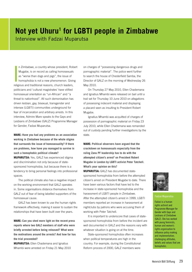## **Not yet Uhuru<sup>1</sup> for LGBTI people in Zimbabwe** Interview with Fadzai Muparutsa

|<br>|<br>|<br>|relic n Zimbabwe, a country whose president, Robert Mugabe, is on record as calling homosexuals as "worse than dogs and pigs", the issue of homophobia is not a new phenomenon. Giving religious and traditional reasons, church leaders, politicians and 'cultural magistrates' have vilified homosexual orientation as "un-African" and "a threat to nationhood". All such demonisation has driven lesbian, gay, bisexual, transgender and intersex (LGBTI) communities underground for fear of incarceration and arbitrary arrests. In this interview, Admire Mare speaks to the Gays and Lesbians of Zimbabwe (GALZ) Programme Manager for Gender, Fadzai Muparutsa.

**MARE: Have you had any problems as an association working in Zimbabwe because of the whole stigma that surrounds the issue of homosexuality? If there are problems, how have you managed to survive in such a homophobic political climate?**

**MUPARUTSA:** Yes, GALZ has experienced stigma and discrimination not only because of statesponsored homophobia, but because there is a tendency to bring personal feelings into professional spaces.

The political climate also has a negative impact on the working environment that GALZ operates in. Some organisations distance themselves from GALZ out of fear of being labelled supporters of the homosexual cause.

GALZ has been known to use the human rights framework effectively, making it easier to sustain the relationships that have been built over the years.

**MARE: Can you shed more light on the recent press reports where two GALZ members of staff who were briefly arrested before being released? What were the motivations around the arrests? And how far has the trial proceeded?**

**MUPARUTSA:** Ellen Chademana and Ignatius Mhambi were arrested on Friday 21 May 2010 on charges of "possessing dangerous drugs and pornographic material". The police went further to search the house of Chesterfield Samba, the Director of GALZ on the morning of Wednesday 26 May 2010.

On Thursday 27 May 2010, Ellen Chademana and Ignatius Mhambi were released on bail until a trail set for Thursday 10 June 2010 on allegations of possessing indecent material and displaying a placard seen as insulting to President Robert Mugabe.

Ignatius Mhambi was acquitted of charges of possession of pornographic material on Friday 23 July 2010, while Ellen Chademana was remanded out of custody pending further investigations by the state.

**MARE: Political observers have argued that the crackdown on homosexuals especially from the ruling Zanu PF leadership has to do with the**  attempted citizen's arrest<sup>2</sup> on President Robert **Mugabe in London by LGBTI activist Peter Tatchell. What's your opinion on this?**

**MUPARUTSA:** GALZ has documented statesponsored homophobia from before the attempted citizen's arrest on President Mugabe to date. There have been various factors that have led to the increase in state-sponsored homophobia and the harassment of LGBTI people in Zimbabwe. After the attempted citizen's arrest in 1999, LGBTI members reported an increase in harassment at nightclubs by patrons who were accusing them of working with Peter Tatchell.

It is important to underscore that cases of statesponsored homophobia from before the incident are well documented in GALZ and the reasons vary with whatever situation is going on at the time.

State-sponsored homophobia often increases when political temperatures are high in the country. For example, during the Constitutional Reform process of 2000, GALZ members were



#### **Fadzai Muparutsa**

Fadzai is a human rights activist and Programme Manager for Gender with Gays and Lesbians of Zimbabwe (GALZ). She has worked with young feminists, human and women's rights organisation to influence policy making and implementation; challenging attitudes, beliefs and values that are homophobic.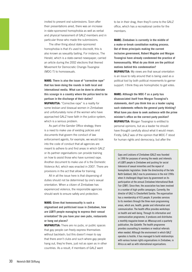invited to present oral submissions. Soon after their presentations aired, there was an increase in state-sponsored homophobia as well as verbal and physical harassment of GALZ members and in particular those who made the submissions.

The other thing about state-sponsored homophobia is that it's used to discredit, this is also known as sexuality baiting. For instance, The Herald, which is a state-owned newspaper, carried an article during the 2002 elections that likened Movement for Democratic Change-Tsvangirai (MDC-T) to homosexuals.

**MARE: There is also the issue of "corrective rape" that has been doing the rounds in both local and international media. What can be done to alleviate this scourge in a country where the police tend to be partisan in the discharge of their duties? MUPARUTSA:** "Corrective rape" is a reality for some lesbian and bisexual women in Zimbabwe and unfortunately none of the women who have approached GALZ have faith in the justice system, which is a serious problem.

As part of the Gender Office strategy, there is a need to make use of existing policies and documents that govern the conduct of law enforcement agents, for example, we would look into the code of conduct that all agencies are meant to adhere to and find areas in which GALZ or its partner organisations can provide training on how to assist those who have survived rape. Another document to make use of is the Domestic Violence Act, which was enacted in 2007. There are provisions in the act that allow for training.

All in all the issue here is that dispensing of duties should not be determined by one's sexual orientation. When a citizen of Zimbabwe has experienced violence, the responsible agencies should work to ensure safety and protection.

**MARE: Given that homosexuality is such a stigmatised and politicised issue in Zimbabwe, how are LGBTI people managing to express their sexual orientation? Do you have your own pubs, restaurants or hang out places?**

**MUPARUTSA:** There are no pubs, or public spaces that gay people can freely express themselves without backlash; but this doesn't mean to say that there aren't clubs and such where gay people hang out, they're there, just not as open as in other countries. As a result, if members of GALZ want

to be in their drag, then they'll come to the GALZ office, which has a recreational centre for the members.

**MARE: Zimbabwe is currently in the middle of a make-or-break constitution making process. Out of three principals making the current inclusive government, Robert Mugabe and Morgan Tsvangirai have already condemned the practice of homosexuality. What do you think are the political motives behind this condemnation?**

**MUPARUTSA:** My views are that sexual orientation is an issue to rally around that is being used as a political tool by both political movements to garner support. I think they are homophobic to get votes.

**MARE: Although the MDC-T as a party has disassociated itself from Morgan Tsvangirai's statements, don't you think him as a leader saying such statements reflects the general party thinking? What have you done to seek audience with the prime minister's office on the correct party position? MUPARUTSA:** Morgan Tsvangirai is entitled to personal opinions, but as a leader he should have thought carefully about what it would mean. Firstly, GALZ was of the opinion that MDC-T stood for human rights and democracy, but after the

Gays and Lesbians of Zimbabwe (GALZ) was founded in 1990 for purposes of serving the needs and interests of LGBTI people in Zimbabwe and pushing for social tolerance of sexual minorities and the repeal of homophobic legislation. Under the directorship of the late Keith Goddard, GALZ rose to prominence in the mid 1990s when it challenged illegal bans by government on its participation at the annual Zimbabwe International Book Fair (ZIBF). Since then, the association has been involved in a number of high-profile campaigns. Currently, the director of GALZ is Chesterfield Samba. The organisation has a membership of 415 people. It provides services to its members through the three main programming areas, which are, health, gender and information and communication. The health office provides workshops on health and well-being. Through its information and communication programme, it produces and distributes a monthly magazine known as *Whassup* and a quarterly publication, the *Galzette*. The health programme provides counselling to members or medical referrals when needed. Although the environment in which GALZ operates is hostile, it has managed to build relationships with various human rights organisations in Zimbabwe, in Africa as well as with international organisations.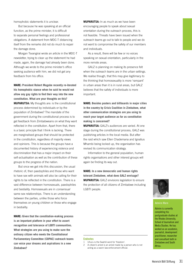homophobic statements it is unclear.

But because he was speaking at an official function, as the prime minister, it is difficult to separate personal feelings and professional obligations. A statement from MDC-T distancing itself from the remarks did not do much to repair the damage done.

Morgan Tsvangirai wrote an article in the MDC-T newsletter, trying to clear up the statement he had made, again, the damage had already been done. Although we wrote to the prime minister's office seeking audience with him, we did not get any feedback from his office.

**MARE: President Robert Mugabe recently re-iterated his homophobic stance when he said he would not allow any gay rights to find their way into the new constitution. What are your thoughts on this? MUPARUTSA:** My thoughts are: is the constitutional process determined by individuals or by the population of Zimbabwe? The mandate of the government during the constitutional process is to get feedback from Zimbabweans on what they want reflected in the constitution. Apart from that, there is a basic principle that I think is lacking. There are marginalised groups that should be protected in the constitution, regardless of majority views and opinions. This is because the groups have a documented history of experiencing violence and discrimination that has a major impact on their self-actualisation as well as the contribution of these groups to the progress of the nation.

But once we get into this discussion, the usual rhetoric of, then paedophiles and those who want to have sex with animals will also be calling for their rights to be reflected in the constitution. There is a vast difference between homosexuals, paedophiles and bestiality. Homosexuals are in *consensual* same sex relationships. There is an understanding between the parties, unlike those who force themselves on young children or those who engage in bestiality.

**MARE: Given that the constitution-making process is an important platform in your effort to assert recognition and tolerance of LGBTI communities. What strategies are you using to make sure the ordinary citizen who meets the Constitutional Parliamentary Committee (COPAC) outreach teams can voice your dreams and aspirations in a new Zimbabwe?**

**MUPARUTSA:** In as much as we have been encouraging people to speak about sexual orientation during the outreach process, this is not feasible. Threats have been issued when the outreach teams go out to talk to people and we do not want to compromise the safety of our members and individuals.

As a result, there will be few or no voices speaking on sexual orientation, particularly in the more remote areas.

GALZ is planning on making its presence felt when the outreach teams are in the urban settings. We realise though, that this may give legitimacy to the thinking that homosexuality is more 'rampant' in urban areas than it is in rural areas, but GALZ believes that the safety of individuals is more important.

**MARE: Besides posters and billboards in major cities in the country by Crisis Coalition in Zimbabwe, what other communication strategies are you using to reach your target audience as far as constitution making is concerned?**

**MUPARUTSA:** GALZ's audiences are varied. At one stage during the constitutional process, GALZ was publishing articles in the local media. But after the raid which saw Ellen Chademana and Ignatius Mhambi being locked up, the organisation has revised its communication strategy.

Information to the general population, human rights organisations and other interest groups will again be finding its way out.

**MARE: In a new democratic and human rights tolerant Zimbabwe, what does GALZ envisage? MUPARUTSA:** GALZ envisions legislation to ensure the protection of all citizens of Zimbabwe including LGBTI people.

#### **Endnotes**

- 1 Uhuru is the Swahili word for 'freedom'.
- 2 A citizen's arrest is an arrest made by a person who is not acting as a sworn law-enforcement official.



#### **Admire Mare**

Admire is currently completing his postgraduate studies at the Rhodes University, School of Journalism and Media Studies. He has worked as an academic, journalist, development practitioner, researcher and consultant both in Zimbabwe and South Africa.